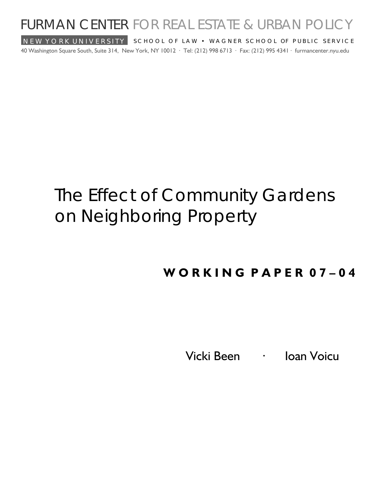## FURMAN CENTER FOR REAL ESTATE & URBAN POLICY

N E W Y O R K U N I V E R S I T Y S C H O O L O F L A W · W A G N E R S C H O O L OF P U B LI C S E R V I C E 40 Washington Square South, Suite 314, New York, NY 10012 · Tel: (212) 998 6713 · Fax: (212) 995 4341 · furmancenter.nyu.edu

# The Effect of Community Gardens on Neighboring Property

## **W O R K I N G P A P E R 0 7 – 0 4**

Vicki Been · Ioan Voicu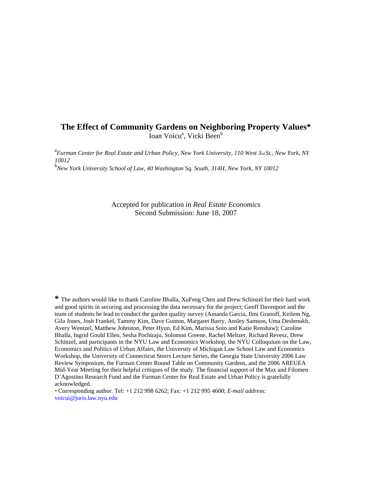#### **The Effect of Community Gardens on Neighboring Property Values\***  Ioan Voicu<sup>a</sup>, Vicki Been<sup>b</sup>

<sup>a</sup> Furman Center for Real Estate and Urban Policy, New York University, 110 West 3rd St., New York, NY *10012*  <sup>b</sup><br>New York University School of Law, 40 Washington Sq. South, 314H, New York, NY 10012

> Accepted for publication in *Real Estate Economics*  Second Submission: June 18, 2007

**\*** The authors would like to thank Caroline Bhalla, XuFeng Chen and Drew Schinzel for their hard work and good spirits in securing and processing the data necessary for the project; Geoff Davenport and the team of students he lead to conduct the garden quality survey (Amanda Garcia, Ilmi Granoff, Keilem Ng, Gila Jones, Josh Frankel, Tammy Kim, Dave Gunton, Margaret Barry, Ansley Samson, Uma Deshmukh, Avery Wentzel, Matthew Johnston, Peter Hyun, Ed Kim, Marissa Soto and Katie Renshaw); Caroline Bhalla, Ingrid Gould Ellen, Sesha Pochiraju, Solomon Greene, Rachel Meltzer, Richard Revesz, Drew Schinzel, and participants in the NYU Law and Economics Workshop, the NYU Colloquium on the Law, Economics and Politics of Urban Affairs, the University of Michigan Law School Law and Economics Workshop, the University of Connecticut Storrs Lecture Series, the Georgia State University 2006 Law Review Symposium, the Furman Center Round Table on Community Gardens, and the 2006 AREUEA Mid-Year Meeting for their helpful critiques of the study. The financial support of the Max and Filomen D'Agostino Research Fund and the Furman Center for Real Estate and Urban Policy is gratefully acknowledged.

\* Corresponding author. Tel: +1 212 998 6262; Fax: +1 212 995 4600; *E-mail addres*s*:*  voicui@juris.law.nyu.edu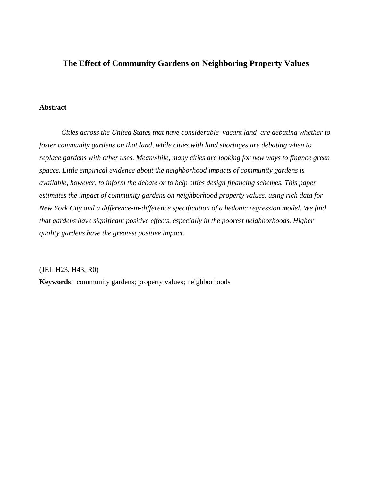#### **The Effect of Community Gardens on Neighboring Property Values**

#### **Abstract**

*Cities across the United States that have considerable vacant land are debating whether to foster community gardens on that land, while cities with land shortages are debating when to replace gardens with other uses. Meanwhile, many cities are looking for new ways to finance green spaces. Little empirical evidence about the neighborhood impacts of community gardens is available, however, to inform the debate or to help cities design financing schemes. This paper estimates the impact of community gardens on neighborhood property values, using rich data for New York City and a difference-in-difference specification of a hedonic regression model. We find that gardens have significant positive effects, especially in the poorest neighborhoods. Higher quality gardens have the greatest positive impact.* 

(JEL H23, H43, R0)

**Keywords**: community gardens; property values; neighborhoods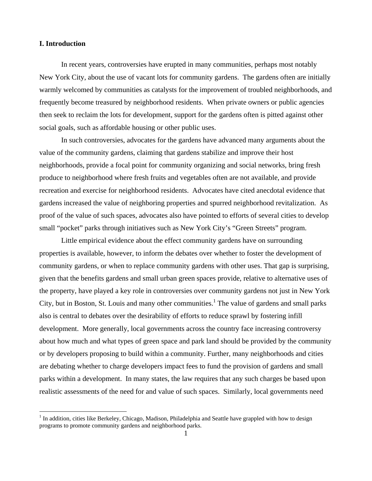#### **I. Introduction**

 $\overline{a}$ 

In recent years, controversies have erupted in many communities, perhaps most notably New York City, about the use of vacant lots for community gardens. The gardens often are initially warmly welcomed by communities as catalysts for the improvement of troubled neighborhoods, and frequently become treasured by neighborhood residents. When private owners or public agencies then seek to reclaim the lots for development, support for the gardens often is pitted against other social goals, such as affordable housing or other public uses.

In such controversies, advocates for the gardens have advanced many arguments about the value of the community gardens, claiming that gardens stabilize and improve their host neighborhoods, provide a focal point for community organizing and social networks, bring fresh produce to neighborhood where fresh fruits and vegetables often are not available, and provide recreation and exercise for neighborhood residents. Advocates have cited anecdotal evidence that gardens increased the value of neighboring properties and spurred neighborhood revitalization. As proof of the value of such spaces, advocates also have pointed to efforts of several cities to develop small "pocket" parks through initiatives such as New York City's "Green Streets" program.

Little empirical evidence about the effect community gardens have on surrounding properties is available, however, to inform the debates over whether to foster the development of community gardens, or when to replace community gardens with other uses. That gap is surprising, given that the benefits gardens and small urban green spaces provide, relative to alternative uses of the property, have played a key role in controversies over community gardens not just in New York City, but in Boston, St. Louis and many other communities.<sup>1</sup> The value of gardens and small parks also is central to debates over the desirability of efforts to reduce sprawl by fostering infill development. More generally, local governments across the country face increasing controversy about how much and what types of green space and park land should be provided by the community or by developers proposing to build within a community. Further, many neighborhoods and cities are debating whether to charge developers impact fees to fund the provision of gardens and small parks within a development. In many states, the law requires that any such charges be based upon realistic assessments of the need for and value of such spaces. Similarly, local governments need

 $1$  In addition, cities like Berkeley, Chicago, Madison, Philadelphia and Seattle have grappled with how to design programs to promote community gardens and neighborhood parks.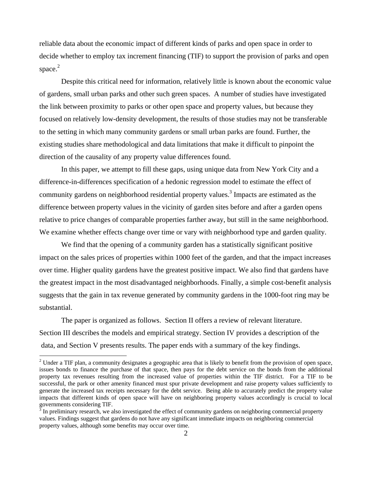reliable data about the economic impact of different kinds of parks and open space in order to decide whether to employ tax increment financing (TIF) to support the provision of parks and open space. $2$ 

Despite this critical need for information, relatively little is known about the economic value of gardens, small urban parks and other such green spaces. A number of studies have investigated the link between proximity to parks or other open space and property values, but because they focused on relatively low-density development, the results of those studies may not be transferable to the setting in which many community gardens or small urban parks are found. Further, the existing studies share methodological and data limitations that make it difficult to pinpoint the direction of the causality of any property value differences found.

In this paper, we attempt to fill these gaps, using unique data from New York City and a difference-in-differences specification of a hedonic regression model to estimate the effect of community gardens on neighborhood residential property values.<sup>3</sup> Impacts are estimated as the difference between property values in the vicinity of garden sites before and after a garden opens relative to price changes of comparable properties farther away, but still in the same neighborhood. We examine whether effects change over time or vary with neighborhood type and garden quality.

We find that the opening of a community garden has a statistically significant positive impact on the sales prices of properties within 1000 feet of the garden, and that the impact increases over time. Higher quality gardens have the greatest positive impact. We also find that gardens have the greatest impact in the most disadvantaged neighborhoods. Finally, a simple cost-benefit analysis suggests that the gain in tax revenue generated by community gardens in the 1000-foot ring may be substantial.

 The paper is organized as follows. Section II offers a review of relevant literature. Section III describes the models and empirical strategy. Section IV provides a description of the data, and Section V presents results. The paper ends with a summary of the key findings.

<sup>&</sup>lt;sup>2</sup> Under a TIF plan, a community designates a geographic area that is likely to benefit from the provision of open space, issues bonds to finance the purchase of that space, then pays for the debt service on the bonds from the additional property tax revenues resulting from the increased value of properties within the TIF district. For a TIF to be successful, the park or other amenity financed must spur private development and raise property values sufficiently to generate the increased tax receipts necessary for the debt service. Being able to accurately predict the property value impacts that different kinds of open space will have on neighboring property values accordingly is crucial to local governments considering TIF.

 $\frac{3}{3}$  In preliminary research, we also investigated the effect of community gardens on neighboring commercial property values. Findings suggest that gardens do not have any significant immediate impacts on neighboring commercial property values, although some benefits may occur over time.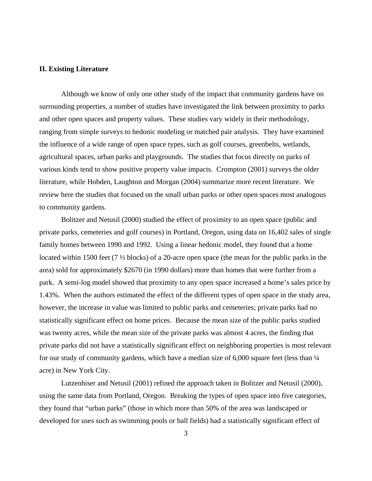#### **II. Existing Literature**

Although we know of only one other study of the impact that community gardens have on surrounding properties, a number of studies have investigated the link between proximity to parks and other open spaces and property values. These studies vary widely in their methodology, ranging from simple surveys to hedonic modeling or matched pair analysis. They have examined the influence of a wide range of open space types, such as golf courses, greenbelts, wetlands, agricultural spaces, urban parks and playgrounds. The studies that focus directly on parks of various kinds tend to show positive property value impacts. Crompton (2001) surveys the older literature, while Hobden, Laughton and Morgan (2004) summarize more recent literature. We review here the studies that focused on the small urban parks or other open spaces most analogous to community gardens.

Bolitzer and Netusil (2000) studied the effect of proximity to an open space (public and private parks, cemeteries and golf courses) in Portland, Oregon, using data on 16,402 sales of single family homes between 1990 and 1992. Using a linear hedonic model, they found that a home located within 1500 feet (7 ½ blocks) of a 20-acre open space (the mean for the public parks in the area) sold for approximately \$2670 (in 1990 dollars) more than homes that were further from a park. A semi-log model showed that proximity to any open space increased a home's sales price by 1.43%. When the authors estimated the effect of the different types of open space in the study area, however, the increase in value was limited to public parks and cemeteries; private parks had no statistically significant effect on home prices. Because the mean size of the public parks studied was twenty acres, while the mean size of the private parks was almost 4 acres, the finding that private parks did not have a statistically significant effect on neighboring properties is most relevant for our study of community gardens, which have a median size of 6,000 square feet (less than  $\frac{1}{4}$ acre) in New York City.

Lutzenhiser and Netusil (2001) refined the approach taken in Bolitzer and Netusil (2000), using the same data from Portland, Oregon. Breaking the types of open space into five categories, they found that "urban parks" (those in which more than 50% of the area was landscaped or developed for uses such as swimming pools or ball fields) had a statistically significant effect of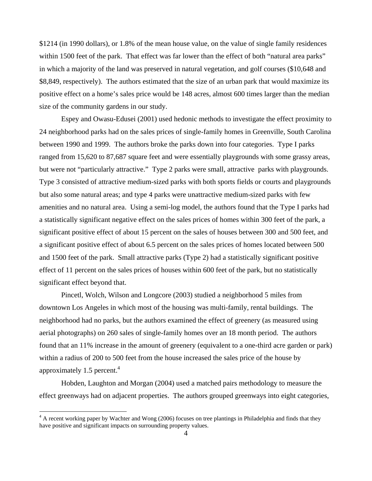\$1214 (in 1990 dollars), or 1.8% of the mean house value, on the value of single family residences within 1500 feet of the park. That effect was far lower than the effect of both "natural area parks" in which a majority of the land was preserved in natural vegetation, and golf courses (\$10,648 and \$8,849, respectively). The authors estimated that the size of an urban park that would maximize its positive effect on a home's sales price would be 148 acres, almost 600 times larger than the median size of the community gardens in our study.

Espey and Owasu-Edusei (2001) used hedonic methods to investigate the effect proximity to 24 neighborhood parks had on the sales prices of single-family homes in Greenville, South Carolina between 1990 and 1999. The authors broke the parks down into four categories. Type I parks ranged from 15,620 to 87,687 square feet and were essentially playgrounds with some grassy areas, but were not "particularly attractive." Type 2 parks were small, attractive parks with playgrounds. Type 3 consisted of attractive medium-sized parks with both sports fields or courts and playgrounds but also some natural areas; and type 4 parks were unattractive medium-sized parks with few amenities and no natural area. Using a semi-log model, the authors found that the Type I parks had a statistically significant negative effect on the sales prices of homes within 300 feet of the park, a significant positive effect of about 15 percent on the sales of houses between 300 and 500 feet, and a significant positive effect of about 6.5 percent on the sales prices of homes located between 500 and 1500 feet of the park. Small attractive parks (Type 2) had a statistically significant positive effect of 11 percent on the sales prices of houses within 600 feet of the park, but no statistically significant effect beyond that.

Pincetl, Wolch, Wilson and Longcore (2003) studied a neighborhood 5 miles from downtown Los Angeles in which most of the housing was multi-family, rental buildings. The neighborhood had no parks, but the authors examined the effect of greenery (as measured using aerial photographs) on 260 sales of single-family homes over an 18 month period. The authors found that an 11% increase in the amount of greenery (equivalent to a one-third acre garden or park) within a radius of 200 to 500 feet from the house increased the sales price of the house by approximately 1.5 percent.4

Hobden, Laughton and Morgan (2004) used a matched pairs methodology to measure the effect greenways had on adjacent properties. The authors grouped greenways into eight categories,

<sup>&</sup>lt;sup>4</sup> A recent working paper by Wachter and Wong (2006) focuses on tree plantings in Philadelphia and finds that they have positive and significant impacts on surrounding property values.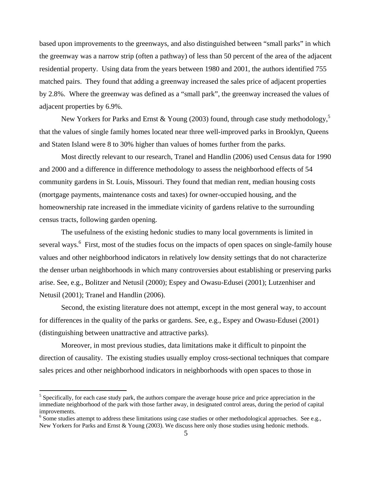based upon improvements to the greenways, and also distinguished between "small parks" in which the greenway was a narrow strip (often a pathway) of less than 50 percent of the area of the adjacent residential property. Using data from the years between 1980 and 2001, the authors identified 755 matched pairs. They found that adding a greenway increased the sales price of adjacent properties by 2.8%. Where the greenway was defined as a "small park", the greenway increased the values of adjacent properties by 6.9%.

New Yorkers for Parks and Ernst & Young (2003) found, through case study methodology,<sup>5</sup> that the values of single family homes located near three well-improved parks in Brooklyn, Queens and Staten Island were 8 to 30% higher than values of homes further from the parks.

Most directly relevant to our research, Tranel and Handlin (2006) used Census data for 1990 and 2000 and a difference in difference methodology to assess the neighborhood effects of 54 community gardens in St. Louis, Missouri. They found that median rent, median housing costs (mortgage payments, maintenance costs and taxes) for owner-occupied housing, and the homeownership rate increased in the immediate vicinity of gardens relative to the surrounding census tracts, following garden opening.

The usefulness of the existing hedonic studies to many local governments is limited in several ways.<sup>6</sup> First, most of the studies focus on the impacts of open spaces on single-family house values and other neighborhood indicators in relatively low density settings that do not characterize the denser urban neighborhoods in which many controversies about establishing or preserving parks arise. See, e.g., Bolitzer and Netusil (2000); Espey and Owasu-Edusei (2001); Lutzenhiser and Netusil (2001); Tranel and Handlin (2006).

Second, the existing literature does not attempt, except in the most general way, to account for differences in the quality of the parks or gardens. See, e.g., Espey and Owasu-Edusei (2001) (distinguishing between unattractive and attractive parks).

 Moreover, in most previous studies, data limitations make it difficult to pinpoint the direction of causality. The existing studies usually employ cross-sectional techniques that compare sales prices and other neighborhood indicators in neighborhoods with open spaces to those in

<sup>&</sup>lt;sup>5</sup> Specifically, for each case study park, the authors compare the average house price and price appreciation in the immediate neighborhood of the park with those farther away, in designated control areas, during the period of capital improvements.

 $6$  Some studies attempt to address these limitations using case studies or other methodological approaches. See e.g., New Yorkers for Parks and Ernst & Young (2003). We discuss here only those studies using hedonic methods.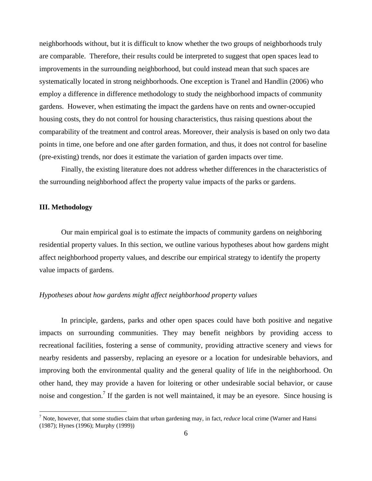neighborhoods without, but it is difficult to know whether the two groups of neighborhoods truly are comparable. Therefore, their results could be interpreted to suggest that open spaces lead to improvements in the surrounding neighborhood, but could instead mean that such spaces are systematically located in strong neighborhoods. One exception is Tranel and Handlin (2006) who employ a difference in difference methodology to study the neighborhood impacts of community gardens. However, when estimating the impact the gardens have on rents and owner-occupied housing costs, they do not control for housing characteristics, thus raising questions about the comparability of the treatment and control areas. Moreover, their analysis is based on only two data points in time, one before and one after garden formation, and thus, it does not control for baseline (pre-existing) trends, nor does it estimate the variation of garden impacts over time.

Finally, the existing literature does not address whether differences in the characteristics of the surrounding neighborhood affect the property value impacts of the parks or gardens.

#### **III. Methodology**

 $\overline{a}$ 

Our main empirical goal is to estimate the impacts of community gardens on neighboring residential property values. In this section, we outline various hypotheses about how gardens might affect neighborhood property values, and describe our empirical strategy to identify the property value impacts of gardens.

#### *Hypotheses about how gardens might affect neighborhood property values*

In principle, gardens, parks and other open spaces could have both positive and negative impacts on surrounding communities. They may benefit neighbors by providing access to recreational facilities, fostering a sense of community, providing attractive scenery and views for nearby residents and passersby, replacing an eyesore or a location for undesirable behaviors, and improving both the environmental quality and the general quality of life in the neighborhood. On other hand, they may provide a haven for loitering or other undesirable social behavior, or cause noise and congestion.<sup>7</sup> If the garden is not well maintained, it may be an eyesore. Since housing is

<sup>7</sup> Note, however, that some studies claim that urban gardening may, in fact, *reduce* local crime (Warner and Hansi (1987); Hynes (1996); Murphy (1999))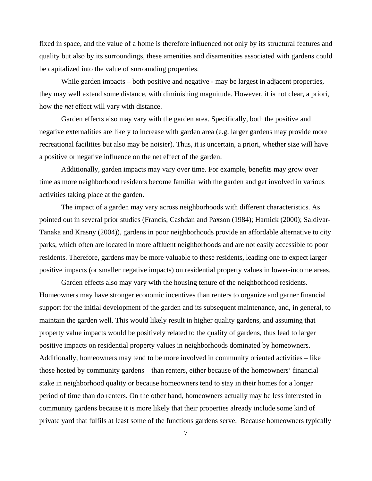fixed in space, and the value of a home is therefore influenced not only by its structural features and quality but also by its surroundings, these amenities and disamenities associated with gardens could be capitalized into the value of surrounding properties.

While garden impacts – both positive and negative - may be largest in adjacent properties, they may well extend some distance, with diminishing magnitude. However, it is not clear, a priori, how the *net* effect will vary with distance.

Garden effects also may vary with the garden area. Specifically, both the positive and negative externalities are likely to increase with garden area (e.g. larger gardens may provide more recreational facilities but also may be noisier). Thus, it is uncertain, a priori, whether size will have a positive or negative influence on the net effect of the garden.

Additionally, garden impacts may vary over time. For example, benefits may grow over time as more neighborhood residents become familiar with the garden and get involved in various activities taking place at the garden.

The impact of a garden may vary across neighborhoods with different characteristics. As pointed out in several prior studies (Francis, Cashdan and Paxson (1984); Harnick (2000); Saldivar-Tanaka and Krasny (2004)), gardens in poor neighborhoods provide an affordable alternative to city parks, which often are located in more affluent neighborhoods and are not easily accessible to poor residents. Therefore, gardens may be more valuable to these residents, leading one to expect larger positive impacts (or smaller negative impacts) on residential property values in lower-income areas.

Garden effects also may vary with the housing tenure of the neighborhood residents. Homeowners may have stronger economic incentives than renters to organize and garner financial support for the initial development of the garden and its subsequent maintenance, and, in general, to maintain the garden well. This would likely result in higher quality gardens, and assuming that property value impacts would be positively related to the quality of gardens, thus lead to larger positive impacts on residential property values in neighborhoods dominated by homeowners. Additionally, homeowners may tend to be more involved in community oriented activities – like those hosted by community gardens – than renters, either because of the homeowners' financial stake in neighborhood quality or because homeowners tend to stay in their homes for a longer period of time than do renters. On the other hand, homeowners actually may be less interested in community gardens because it is more likely that their properties already include some kind of private yard that fulfils at least some of the functions gardens serve. Because homeowners typically

7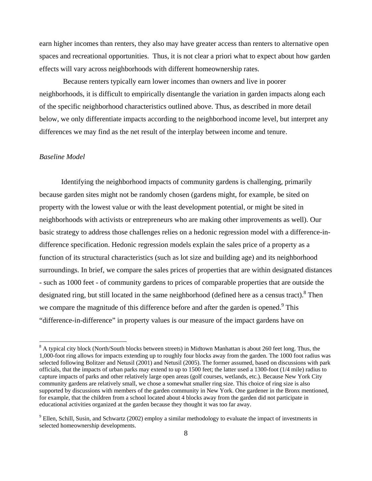earn higher incomes than renters, they also may have greater access than renters to alternative open spaces and recreational opportunities. Thus, it is not clear a priori what to expect about how garden effects will vary across neighborhoods with different homeownership rates.

 Because renters typically earn lower incomes than owners and live in poorer neighborhoods, it is difficult to empirically disentangle the variation in garden impacts along each of the specific neighborhood characteristics outlined above. Thus, as described in more detail below, we only differentiate impacts according to the neighborhood income level, but interpret any differences we may find as the net result of the interplay between income and tenure.

#### *Baseline Model*

 $\overline{a}$ 

Identifying the neighborhood impacts of community gardens is challenging, primarily because garden sites might not be randomly chosen (gardens might, for example, be sited on property with the lowest value or with the least development potential, or might be sited in neighborhoods with activists or entrepreneurs who are making other improvements as well). Our basic strategy to address those challenges relies on a hedonic regression model with a difference-indifference specification. Hedonic regression models explain the sales price of a property as a function of its structural characteristics (such as lot size and building age) and its neighborhood surroundings. In brief, we compare the sales prices of properties that are within designated distances - such as 1000 feet - of community gardens to prices of comparable properties that are outside the designated ring, but still located in the same neighborhood (defined here as a census tract). <sup>8</sup> Then we compare the magnitude of this difference before and after the garden is opened.<sup>9</sup> This "difference-in-difference" in property values is our measure of the impact gardens have on

<sup>&</sup>lt;sup>8</sup> A typical city block (North/South blocks between streets) in Midtown Manhattan is about 260 feet long. Thus, the 1,000-foot ring allows for impacts extending up to roughly four blocks away from the garden. The 1000 foot radius was selected following Bolitzer and Netusil (2001) and Netusil (2005). The former assumed, based on discussions with park officials, that the impacts of urban parks may extend to up to 1500 feet; the latter used a 1300-foot (1/4 mile) radius to capture impacts of parks and other relatively large open areas (golf courses, wetlands, etc.). Because New York City community gardens are relatively small, we chose a somewhat smaller ring size. This choice of ring size is also supported by discussions with members of the garden community in New York. One gardener in the Bronx mentioned, for example, that the children from a school located about 4 blocks away from the garden did not participate in educational activities organized at the garden because they thought it was too far away.

 $9$  Ellen, Schill, Susin, and Schwartz (2002) employ a similar methodology to evaluate the impact of investments in selected homeownership developments.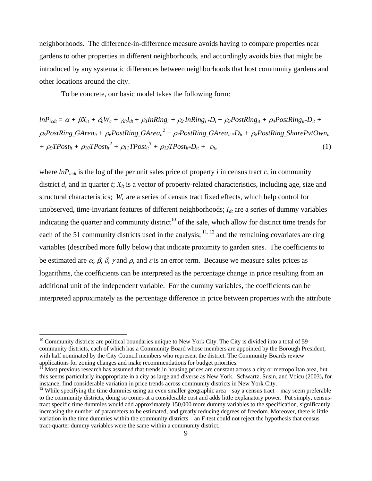neighborhoods. The difference-in-difference measure avoids having to compare properties near gardens to other properties in different neighborhoods, and accordingly avoids bias that might be introduced by any systematic differences between neighborhoods that host community gardens and other locations around the city.

To be concrete, our basic model takes the following form:

 $lnP_{icdt} = \alpha + \beta X_{it} + \delta_c W_c + \gamma_{dt} I_{dt} + \rho_1 ln Ring_i + \rho_2 lnRing_i * D_i + \rho_3 PostRing_{it} + \rho_4 PostRing_{it} * D_{it} + \rho_5$ <sup>ρ</sup>*5PostRing\_GAreait +* ρ*6PostRing\_GAreait 2+* ρ*7PostRing\_GAreait \*Dit +* ρ*8PostRing\_SharePvtOwnit*  $+ \rho_9 TPost_{it} + \rho_{10} TPost_{it}^2 + \rho_{11} TPost_{it}^3 + \rho_{12} TPost_{it} * D_{it} + \varepsilon_{it},$  (1)

where  $ln P_{icdt}$  is the log of the per unit sales price of property *i* in census tract *c*, in community district *d*, and in quarter *t*;  $X_{it}$  is a vector of property-related characteristics, including age, size and structural characteristics;  $W_c$  are a series of census tract fixed effects, which help control for unobserved, time-invariant features of different neighborhoods;  $I_{dt}$  are a series of dummy variables indicating the quarter and community district<sup>10</sup> of the sale, which allow for distinct time trends for each of the 51 community districts used in the analysis;  $11, 12$  and the remaining covariates are ring variables (described more fully below) that indicate proximity to garden sites. The coefficients to be estimated are  $\alpha$ ,  $\beta$ ,  $\delta$ ,  $\gamma$  and  $\rho$ , and  $\varepsilon$  is an error term. Because we measure sales prices as logarithms, the coefficients can be interpreted as the percentage change in price resulting from an additional unit of the independent variable. For the dummy variables, the coefficients can be interpreted approximately as the percentage difference in price between properties with the attribute

 $10$  Community districts are political boundaries unique to New York City. The City is divided into a total of 59 community districts, each of which has a Community Board whose members are appointed by the Borough President, with half nominated by the City Council members who represent the district. The Community Boards review<br>applications for zoning changes and make recommendations for budget priorities.

Most previous research has assumed that trends in housing prices are constant across a city or metropolitan area, but this seems particularly inappropriate in a city as large and diverse as New York. Schwartz, Susin, and Voicu (2003)**,** for instance, find considerable variation in price trends across community districts in New York City.<br><sup>12</sup> While specifying the time dummies using an even smaller geographic area – say a census tract – may seem preferable

to the community districts, doing so comes at a considerable cost and adds little explanatory power. Put simply, censustract specific time dummies would add approximately 150,000 more dummy variables to the specification, significantly increasing the number of parameters to be estimated, and greatly reducing degrees of freedom. Moreover, there is little variation in the time dummies within the community districts – an F-test could not reject the hypothesis that census tract-quarter dummy variables were the same within a community district.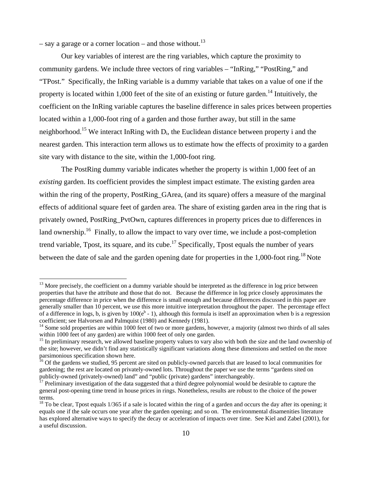– say a garage or a corner location – and those without.<sup>13</sup>

 $\overline{a}$ 

Our key variables of interest are the ring variables, which capture the proximity to community gardens. We include three vectors of ring variables – "InRing," "PostRing," and "TPost." Specifically, the InRing variable is a dummy variable that takes on a value of one if the property is located within 1,000 feet of the site of an existing or future garden.<sup>14</sup> Intuitively, the coefficient on the InRing variable captures the baseline difference in sales prices between properties located within a 1,000-foot ring of a garden and those further away, but still in the same neighborhood.<sup>15</sup> We interact InRing with  $D_i$ , the Euclidean distance between property i and the nearest garden. This interaction term allows us to estimate how the effects of proximity to a garden site vary with distance to the site, within the 1,000-foot ring.

The PostRing dummy variable indicates whether the property is within 1,000 feet of an *existing* garden. Its coefficient provides the simplest impact estimate. The existing garden area within the ring of the property, PostRing GArea, (and its square) offers a measure of the marginal effects of additional square feet of garden area. The share of existing garden area in the ring that is privately owned, PostRing\_PvtOwn, captures differences in property prices due to differences in land ownership.<sup>16</sup> Finally, to allow the impact to vary over time, we include a post-completion trend variable, Tpost, its square, and its cube.<sup>17</sup> Specifically, Tpost equals the number of years between the date of sale and the garden opening date for properties in the 1,000-foot ring.<sup>18</sup> Note

 $13$  More precisely, the coefficient on a dummy variable should be interpreted as the difference in log price between properties that have the attribute and those that do not. Because the difference in log price closely approximates the percentage difference in price when the difference is small enough and because differences discussed in this paper are generally smaller than 10 percent, we use this more intuitive interpretation throughout the paper. The percentage effect of a difference in logs, b, is given by  $100(e^b - 1)$ , although this formula is itself an approximation when b is a regression coefficient; see Halvorsen and Palmquist (1980) and Kennedy (1981).

<sup>&</sup>lt;sup>14</sup> Some sold properties are within 1000 feet of two or more gardens, however, a majority (almost two thirds of all sales within 1000 feet of any garden) are within 1000 feet of only one garden.

<sup>&</sup>lt;sup>15</sup> In preliminary research, we allowed baseline property values to vary also with both the size and the land ownership of the site; however, we didn't find any statistically significant variations along these dimensions and settled on the more parsimonious specification shown here.

<sup>&</sup>lt;sup>16</sup> Of the gardens we studied, 95 percent are sited on publicly-owned parcels that are leased to local communities for gardening; the rest are located on privately-owned lots. Throughout the paper we use the terms "gardens sited on publicly-owned (privately-owned) land" and "public (private) gardens" interchangeably.

<sup>&</sup>lt;sup>17</sup> Preliminary investigation of the data suggested that a third degree polynomial would be desirable to capture the general post-opening time trend in house prices in rings. Nonetheless, results are robust to the choice of the power terms.

 $18$  To be clear, Tpost equals 1/365 if a sale is located within the ring of a garden and occurs the day after its opening; it equals one if the sale occurs one year after the garden opening; and so on. The environmental disamenities literature has explored alternative ways to specify the decay or acceleration of impacts over time. See Kiel and Zabel (2001), for a useful discussion.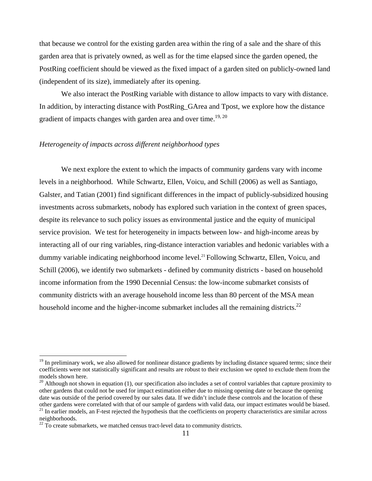that because we control for the existing garden area within the ring of a sale and the share of this garden area that is privately owned, as well as for the time elapsed since the garden opened, the PostRing coefficient should be viewed as the fixed impact of a garden sited on publicly-owned land (independent of its size), immediately after its opening.

We also interact the PostRing variable with distance to allow impacts to vary with distance. In addition, by interacting distance with PostRing\_GArea and Tpost, we explore how the distance gradient of impacts changes with garden area and over time.<sup>19, 20</sup>

#### *Heterogeneity of impacts across different neighborhood types*

 We next explore the extent to which the impacts of community gardens vary with income levels in a neighborhood. While Schwartz, Ellen, Voicu, and Schill (2006) as well as Santiago, Galster, and Tatian (2001) find significant differences in the impact of publicly-subsidized housing investments across submarkets, nobody has explored such variation in the context of green spaces, despite its relevance to such policy issues as environmental justice and the equity of municipal service provision. We test for heterogeneity in impacts between low- and high-income areas by interacting all of our ring variables, ring-distance interaction variables and hedonic variables with a dummy variable indicating neighborhood income level.<sup>21</sup> Following Schwartz, Ellen, Voicu, and Schill (2006), we identify two submarkets - defined by community districts - based on household income information from the 1990 Decennial Census: the low-income submarket consists of community districts with an average household income less than 80 percent of the MSA mean household income and the higher-income submarket includes all the remaining districts.<sup>22</sup>

<sup>&</sup>lt;sup>19</sup> In preliminary work, we also allowed for nonlinear distance gradients by including distance squared terms; since their coefficients were not statistically significant and results are robust to their exclusion we opted to exclude them from the models shown here.

 $20$  Although not shown in equation (1), our specification also includes a set of control variables that capture proximity to other gardens that could not be used for impact estimation either due to missing opening date or because the opening date was outside of the period covered by our sales data. If we didn't include these controls and the location of these other gardens were correlated with that of our sample of gardens with valid data, our impact estimates would be biased.  $^{21}$  In earlier models, an F-test rejected the hypothesis that the coefficients on property characteristics are similar across neighborhoods.

 $22 \overline{22}$  To create submarkets, we matched census tract-level data to community districts.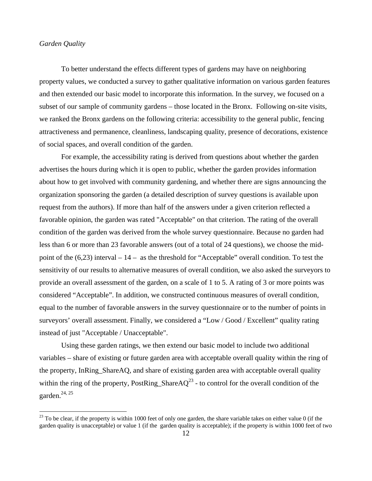#### *Garden Quality*

 $\overline{a}$ 

To better understand the effects different types of gardens may have on neighboring property values, we conducted a survey to gather qualitative information on various garden features and then extended our basic model to incorporate this information. In the survey, we focused on a subset of our sample of community gardens – those located in the Bronx. Following on-site visits, we ranked the Bronx gardens on the following criteria: accessibility to the general public, fencing attractiveness and permanence, cleanliness, landscaping quality, presence of decorations, existence of social spaces, and overall condition of the garden.

For example, the accessibility rating is derived from questions about whether the garden advertises the hours during which it is open to public, whether the garden provides information about how to get involved with community gardening, and whether there are signs announcing the organization sponsoring the garden (a detailed description of survey questions is available upon request from the authors). If more than half of the answers under a given criterion reflected a favorable opinion, the garden was rated "Acceptable" on that criterion. The rating of the overall condition of the garden was derived from the whole survey questionnaire. Because no garden had less than 6 or more than 23 favorable answers (out of a total of 24 questions), we choose the midpoint of the (6,23) interval – 14 – as the threshold for "Acceptable" overall condition. To test the sensitivity of our results to alternative measures of overall condition, we also asked the surveyors to provide an overall assessment of the garden, on a scale of 1 to 5. A rating of 3 or more points was considered "Acceptable". In addition, we constructed continuous measures of overall condition, equal to the number of favorable answers in the survey questionnaire or to the number of points in surveyors' overall assessment. Finally, we considered a "Low / Good / Excellent" quality rating instead of just "Acceptable / Unacceptable".

Using these garden ratings, we then extend our basic model to include two additional variables – share of existing or future garden area with acceptable overall quality within the ring of the property, InRing\_ShareAQ, and share of existing garden area with acceptable overall quality within the ring of the property, PostRing ShareAQ<sup>23</sup> - to control for the overall condition of the garden.<sup>24, 25</sup>

 $^{23}$  To be clear, if the property is within 1000 feet of only one garden, the share variable takes on either value 0 (if the garden quality is unacceptable) or value 1 (if the garden quality is acceptable); if the property is within 1000 feet of two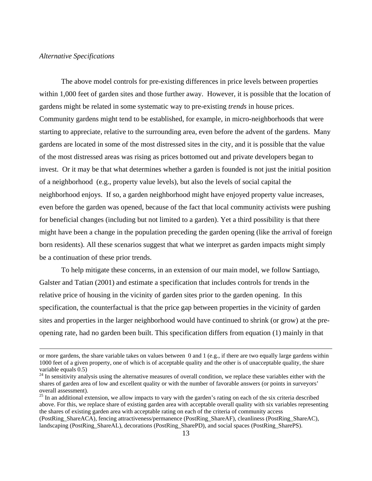#### *Alternative Specifications*

The above model controls for pre-existing differences in price levels between properties within 1,000 feet of garden sites and those further away. However, it is possible that the location of gardens might be related in some systematic way to pre-existing *trends* in house prices. Community gardens might tend to be established, for example, in micro-neighborhoods that were starting to appreciate, relative to the surrounding area, even before the advent of the gardens. Many gardens are located in some of the most distressed sites in the city, and it is possible that the value of the most distressed areas was rising as prices bottomed out and private developers began to invest. Or it may be that what determines whether a garden is founded is not just the initial position of a neighborhood (e.g., property value levels), but also the levels of social capital the neighborhood enjoys. If so, a garden neighborhood might have enjoyed property value increases, even before the garden was opened, because of the fact that local community activists were pushing for beneficial changes (including but not limited to a garden). Yet a third possibility is that there might have been a change in the population preceding the garden opening (like the arrival of foreign born residents). All these scenarios suggest that what we interpret as garden impacts might simply be a continuation of these prior trends.

To help mitigate these concerns, in an extension of our main model, we follow Santiago, Galster and Tatian (2001) and estimate a specification that includes controls for trends in the relative price of housing in the vicinity of garden sites prior to the garden opening. In this specification, the counterfactual is that the price gap between properties in the vicinity of garden sites and properties in the larger neighborhood would have continued to shrink (or grow) at the preopening rate, had no garden been built. This specification differs from equation (1) mainly in that

or more gardens, the share variable takes on values between  $\theta$  and  $\theta$  (e.g., if there are two equally large gardens within 1000 feet of a given property, one of which is of acceptable quality and the other is of unacceptable quality, the share variable equals 0.5)

 $24$  In sensitivity analysis using the alternative measures of overall condition, we replace these variables either with the shares of garden area of low and excellent quality or with the number of favorable answers (or points in surveyors' overall assessment).

 $25$  In an additional extension, we allow impacts to vary with the garden's rating on each of the six criteria described above. For this, we replace share of existing garden area with acceptable overall quality with six variables representing the shares of existing garden area with acceptable rating on each of the criteria of community access (PostRing\_ShareACA), fencing attractiveness/permanence (PostRing\_ShareAF), cleanliness (PostRing\_ShareAC), landscaping (PostRing\_ShareAL), decorations (PostRing\_SharePD), and social spaces (PostRing\_SharePS).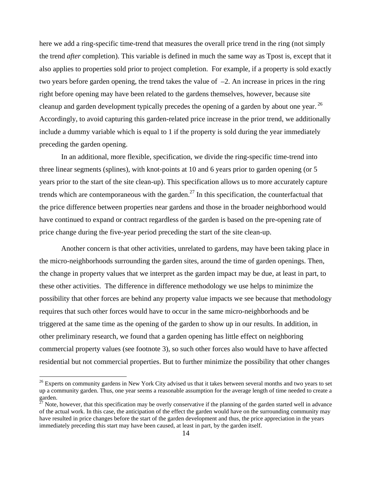here we add a ring-specific time-trend that measures the overall price trend in the ring (not simply the trend *after* completion). This variable is defined in much the same way as Tpost is, except that it also applies to properties sold prior to project completion. For example, if a property is sold exactly two years before garden opening, the trend takes the value of –2. An increase in prices in the ring right before opening may have been related to the gardens themselves, however, because site cleanup and garden development typically precedes the opening of a garden by about one year.<sup>26</sup> Accordingly, to avoid capturing this garden-related price increase in the prior trend, we additionally include a dummy variable which is equal to 1 if the property is sold during the year immediately preceding the garden opening.

In an additional, more flexible, specification, we divide the ring-specific time-trend into three linear segments (splines), with knot-points at 10 and 6 years prior to garden opening (or 5 years prior to the start of the site clean-up). This specification allows us to more accurately capture trends which are contemporaneous with the garden.<sup>27</sup> In this specification, the counterfactual that the price difference between properties near gardens and those in the broader neighborhood would have continued to expand or contract regardless of the garden is based on the pre-opening rate of price change during the five-year period preceding the start of the site clean-up.

Another concern is that other activities, unrelated to gardens, may have been taking place in the micro-neighborhoods surrounding the garden sites, around the time of garden openings. Then, the change in property values that we interpret as the garden impact may be due, at least in part, to these other activities. The difference in difference methodology we use helps to minimize the possibility that other forces are behind any property value impacts we see because that methodology requires that such other forces would have to occur in the same micro-neighborhoods and be triggered at the same time as the opening of the garden to show up in our results. In addition, in other preliminary research, we found that a garden opening has little effect on neighboring commercial property values (see footnote 3), so such other forces also would have to have affected residential but not commercial properties. But to further minimize the possibility that other changes

 $26$  Experts on community gardens in New York City advised us that it takes between several months and two years to set up a community garden. Thus, one year seems a reasonable assumption for the average length of time needed to create a garden.

 $^{27}$  Note, however, that this specification may be overly conservative if the planning of the garden started well in advance of the actual work. In this case, the anticipation of the effect the garden would have on the surrounding community may have resulted in price changes before the start of the garden development and thus, the price appreciation in the years immediately preceding this start may have been caused, at least in part, by the garden itself.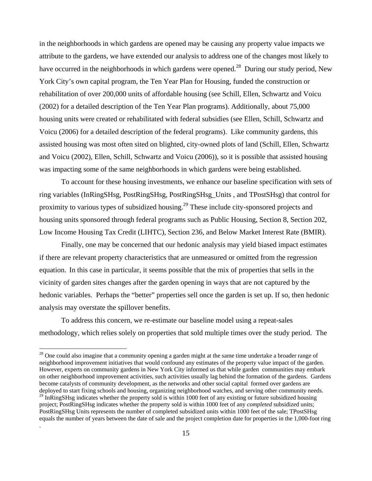in the neighborhoods in which gardens are opened may be causing any property value impacts we attribute to the gardens, we have extended our analysis to address one of the changes most likely to have occurred in the neighborhoods in which gardens were opened.<sup>28</sup> During our study period, New York City's own capital program, the Ten Year Plan for Housing, funded the construction or rehabilitation of over 200,000 units of affordable housing (see Schill, Ellen, Schwartz and Voicu (2002) for a detailed description of the Ten Year Plan programs). Additionally, about 75,000 housing units were created or rehabilitated with federal subsidies (see Ellen, Schill, Schwartz and Voicu (2006) for a detailed description of the federal programs). Like community gardens, this assisted housing was most often sited on blighted, city-owned plots of land (Schill, Ellen, Schwartz and Voicu (2002), Ellen, Schill, Schwartz and Voicu (2006)), so it is possible that assisted housing was impacting some of the same neighborhoods in which gardens were being established.

To account for these housing investments, we enhance our baseline specification with sets of ring variables (InRingSHsg, PostRingSHsg, PostRingSHsg\_Units , and TPostSHsg) that control for proximity to various types of subsidized housing.<sup>29</sup> These include city-sponsored projects and housing units sponsored through federal programs such as Public Housing, Section 8, Section 202, Low Income Housing Tax Credit (LIHTC), Section 236, and Below Market Interest Rate (BMIR).

Finally, one may be concerned that our hedonic analysis may yield biased impact estimates if there are relevant property characteristics that are unmeasured or omitted from the regression equation. In this case in particular, it seems possible that the mix of properties that sells in the vicinity of garden sites changes after the garden opening in ways that are not captured by the hedonic variables. Perhaps the "better" properties sell once the garden is set up. If so, then hedonic analysis may overstate the spillover benefits.

To address this concern, we re-estimate our baseline model using a repeat-sales methodology, which relies solely on properties that sold multiple times over the study period. The

 $\overline{a}$ 

.

<sup>&</sup>lt;sup>28</sup> One could also imagine that a community opening a garden might at the same time undertake a broader range of neighborhood improvement initiatives that would confound any estimates of the property value impact of the garden. However, experts on community gardens in New York City informed us that while garden communities may embark on other neighborhood improvement activities, such activities usually lag behind the formation of the gardens. Gardens become catalysts of community development, as the networks and other social capital formed over gardens are deployed to start fixing schools and housing, organizing neighborhood watches, and serving other community needs.  $^{29}$  InRingSHsg indicates whether the property sold is within 1000 feet of any existing or future subsidized housing project; PostRingSHsg indicates whether the property sold is within 1000 feet of any *completed* subsidized units; PostRingSHsg Units represents the number of completed subsidized units within 1000 feet of the sale; TPostSHsg equals the number of years between the date of sale and the project completion date for properties in the 1,000-foot ring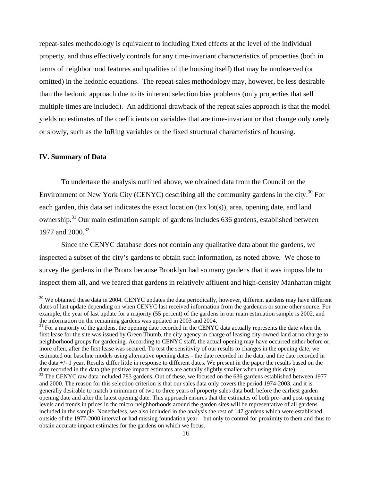repeat-sales methodology is equivalent to including fixed effects at the level of the individual property, and thus effectively controls for any time-invariant characteristics of properties (both in terms of neighborhood features and qualities of the housing itself) that may be unobserved (or omitted) in the hedonic equations. The repeat-sales methodology may, however, be less desirable than the hedonic approach due to its inherent selection bias problems (only properties that sell multiple times are included). An additional drawback of the repeat sales approach is that the model yields no estimates of the coefficients on variables that are time-invariant or that change only rarely or slowly, such as the InRing variables or the fixed structural characteristics of housing.

#### **IV. Summary of Data**

 $\overline{a}$ 

To undertake the analysis outlined above, we obtained data from the Council on the Environment of New York City (CENYC) describing all the community gardens in the city.<sup>30</sup> For each garden, this data set indicates the exact location (tax lot(s)), area, opening date, and land ownership.<sup>31</sup> Our main estimation sample of gardens includes 636 gardens, established between 1977 and 2000.<sup>32</sup>

Since the CENYC database does not contain any qualitative data about the gardens, we inspected a subset of the city's gardens to obtain such information, as noted above. We chose to survey the gardens in the Bronx because Brooklyn had so many gardens that it was impossible to inspect them all, and we feared that gardens in relatively affluent and high-density Manhattan might

 $30$  We obtained these data in 2004. CENYC updates the data periodically, however, different gardens may have different dates of last update depending on when CENYC last received information from the gardeners or some other source. For example, the year of last update for a majority (55 percent) of the gardens in our main estimation sample is 2002, and the information on the remaining gardens was updated in 2003 and 2004.

 $31$  For a majority of the gardens, the opening date recorded in the CENYC data actually represents the date when the first lease for the site was issued by Green Thumb, the city agency in charge of leasing city-owned land at no charge to neighborhood groups for gardening. According to CENYC staff, the actual opening may have occurred either before or, more often, after the first lease was secured. To test the sensitivity of our results to changes in the opening date, we estimated our baseline models using alternative opening dates - the date recorded in the data, and the date recorded in the data +/- 1 year. Results differ little in response to different dates. We present in the paper the results based on the date recorded in the data (the positive impact estimates are actually slightly smaller when using this date).

 $32$  The CENYC raw data included 783 gardens. Out of these, we focused on the 636 gardens established between 1977 and 2000. The reason for this selection criterion is that our sales data only covers the period 1974-2003, and it is generally desirable to match a minimum of two to three years of property sales data both before the earliest garden opening date and after the latest opening date. This approach ensures that the estimates of both pre- and post-opening levels and trends in prices in the micro-neighborhoods around the garden sites will be representative of all gardens included in the sample. Nonetheless, we also included in the analysis the rest of 147 gardens which were established outside of the 1977-2000 interval or had missing foundation year – but only to control for proximity to them and thus to obtain accurate impact estimates for the gardens on which we focus.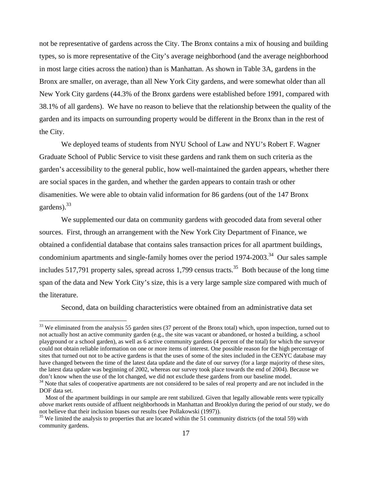not be representative of gardens across the City. The Bronx contains a mix of housing and building types, so is more representative of the City's average neighborhood (and the average neighborhood in most large cities across the nation) than is Manhattan. As shown in Table 3A, gardens in the Bronx are smaller, on average, than all New York City gardens, and were somewhat older than all New York City gardens (44.3% of the Bronx gardens were established before 1991, compared with 38.1% of all gardens). We have no reason to believe that the relationship between the quality of the garden and its impacts on surrounding property would be different in the Bronx than in the rest of the City.

We deployed teams of students from NYU School of Law and NYU's Robert F. Wagner Graduate School of Public Service to visit these gardens and rank them on such criteria as the garden's accessibility to the general public, how well-maintained the garden appears, whether there are social spaces in the garden, and whether the garden appears to contain trash or other disamenities. We were able to obtain valid information for 86 gardens (out of the 147 Bronx gardens). $33$ 

We supplemented our data on community gardens with geocoded data from several other sources. First, through an arrangement with the New York City Department of Finance, we obtained a confidential database that contains sales transaction prices for all apartment buildings, condominium apartments and single-family homes over the period  $1974-2003$ <sup>34</sup> Our sales sample includes 517,791 property sales, spread across 1,799 census tracts.<sup>35</sup> Both because of the long time span of the data and New York City's size, this is a very large sample size compared with much of the literature.

Second, data on building characteristics were obtained from an administrative data set

<sup>&</sup>lt;sup>33</sup> We eliminated from the analysis 55 garden sites (37 percent of the Bronx total) which, upon inspection, turned out to not actually host an active community garden (e.g., the site was vacant or abandoned, or hosted a building, a school playground or a school garden), as well as 6 active community gardens (4 percent of the total) for which the surveyor could not obtain reliable information on one or more items of interest. One possible reason for the high percentage of sites that turned out not to be active gardens is that the uses of some of the sites included in the CENYC database may have changed between the time of the latest data update and the date of our survey (for a large majority of these sites, the latest data update was beginning of 2002, whereas our survey took place towards the end of 2004). Because we don't know when the use of the lot changed, we did not exclude these gardens from our baseline model.

<sup>&</sup>lt;sup>34</sup> Note that sales of cooperative apartments are not considered to be sales of real property and are not included in the DOF data set.

Most of the apartment buildings in our sample are rent stabilized. Given that legally allowable rents were typically *above* market rents outside of affluent neighborhoods in Manhattan and Brooklyn during the period of our study, we do not believe that their inclusion biases our results (see Pollakowski (1997)).

 $35$  We limited the analysis to properties that are located within the 51 community districts (of the total 59) with community gardens.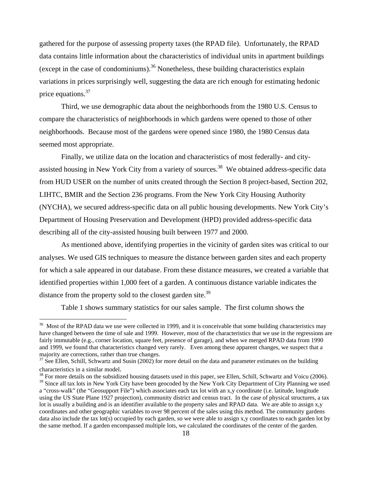gathered for the purpose of assessing property taxes (the RPAD file). Unfortunately, the RPAD data contains little information about the characteristics of individual units in apartment buildings (except in the case of condominiums).<sup>36</sup> Nonetheless, these building characteristics explain variations in prices surprisingly well, suggesting the data are rich enough for estimating hedonic price equations.<sup>37</sup>

Third, we use demographic data about the neighborhoods from the 1980 U.S. Census to compare the characteristics of neighborhoods in which gardens were opened to those of other neighborhoods. Because most of the gardens were opened since 1980, the 1980 Census data seemed most appropriate.

Finally, we utilize data on the location and characteristics of most federally- and cityassisted housing in New York City from a variety of sources.<sup>38</sup> We obtained address-specific data from HUD USER on the number of units created through the Section 8 project-based, Section 202, LIHTC, BMIR and the Section 236 programs. From the New York City Housing Authority (NYCHA), we secured address-specific data on all public housing developments. New York City's Department of Housing Preservation and Development (HPD) provided address-specific data describing all of the city-assisted housing built between 1977 and 2000.

As mentioned above, identifying properties in the vicinity of garden sites was critical to our analyses. We used GIS techniques to measure the distance between garden sites and each property for which a sale appeared in our database. From these distance measures, we created a variable that identified properties within 1,000 feet of a garden. A continuous distance variable indicates the distance from the property sold to the closest garden site.<sup>39</sup>

Table 1 shows summary statistics for our sales sample. The first column shows the

 $36$  Most of the RPAD data we use were collected in 1999, and it is conceivable that some building characteristics may have changed between the time of sale and 1999. However, most of the characteristics that we use in the regressions are fairly immutable (e.g., corner location, square feet, presence of garage), and when we merged RPAD data from 1990 and 1999, we found that characteristics changed very rarely. Even among these apparent changes, we suspect that a majority are corrections, rather than true changes.<br><sup>37</sup> See Ellen, Schill, Schwartz and Susin (2002) for more detail on the data and parameter estimates on the building

characteristics in a similar model.<br><sup>38</sup> For more details on the subsidized housing datasets used in this paper, see Ellen, Schill, Schwartz and Voicu (2006).

<sup>&</sup>lt;sup>39</sup> Since all tax lots in New York City have been geocoded by the New York City Department of City Planning we used a "cross-walk" (the "Geosupport File") which associates each tax lot with an x,y coordinate (i.e. latitude, longitude using the US State Plane 1927 projection), community district and census tract. In the case of physical structures, a tax lot is usually a building and is an identifier available to the property sales and RPAD data. We are able to assign x,y coordinates and other geographic variables to over 98 percent of the sales using this method. The community gardens data also include the tax lot(s) occupied by each garden, so we were able to assign x,y coordinates to each garden lot by the same method. If a garden encompassed multiple lots, we calculated the coordinates of the center of the garden.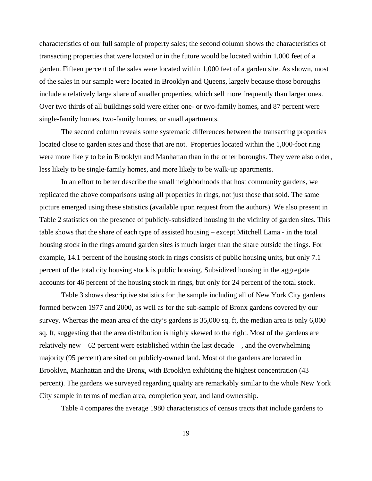characteristics of our full sample of property sales; the second column shows the characteristics of transacting properties that were located or in the future would be located within 1,000 feet of a garden. Fifteen percent of the sales were located within 1,000 feet of a garden site. As shown, most of the sales in our sample were located in Brooklyn and Queens, largely because those boroughs include a relatively large share of smaller properties, which sell more frequently than larger ones. Over two thirds of all buildings sold were either one- or two-family homes, and 87 percent were single-family homes, two-family homes, or small apartments.

 The second column reveals some systematic differences between the transacting properties located close to garden sites and those that are not. Properties located within the 1,000-foot ring were more likely to be in Brooklyn and Manhattan than in the other boroughs. They were also older, less likely to be single-family homes, and more likely to be walk-up apartments.

In an effort to better describe the small neighborhoods that host community gardens, we replicated the above comparisons using all properties in rings, not just those that sold. The same picture emerged using these statistics (available upon request from the authors). We also present in Table 2 statistics on the presence of publicly-subsidized housing in the vicinity of garden sites. This table shows that the share of each type of assisted housing – except Mitchell Lama - in the total housing stock in the rings around garden sites is much larger than the share outside the rings. For example, 14.1 percent of the housing stock in rings consists of public housing units, but only 7.1 percent of the total city housing stock is public housing. Subsidized housing in the aggregate accounts for 46 percent of the housing stock in rings, but only for 24 percent of the total stock.

 Table 3 shows descriptive statistics for the sample including all of New York City gardens formed between 1977 and 2000, as well as for the sub-sample of Bronx gardens covered by our survey. Whereas the mean area of the city's gardens is 35,000 sq. ft, the median area is only 6,000 sq. ft, suggesting that the area distribution is highly skewed to the right. Most of the gardens are relatively new  $-62$  percent were established within the last decade  $-$ , and the overwhelming majority (95 percent) are sited on publicly-owned land. Most of the gardens are located in Brooklyn, Manhattan and the Bronx, with Brooklyn exhibiting the highest concentration (43 percent). The gardens we surveyed regarding quality are remarkably similar to the whole New York City sample in terms of median area, completion year, and land ownership.

Table 4 compares the average 1980 characteristics of census tracts that include gardens to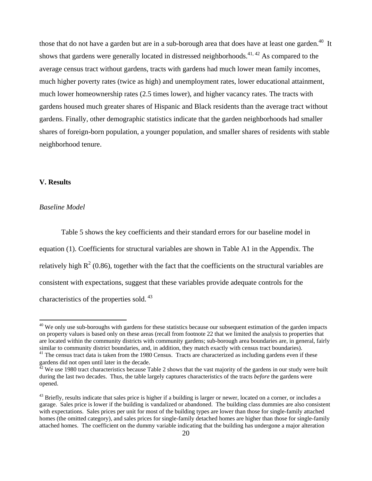those that do not have a garden but are in a sub-borough area that does have at least one garden.<sup>40</sup> It shows that gardens were generally located in distressed neighborhoods.<sup>41, 42</sup> As compared to the average census tract without gardens, tracts with gardens had much lower mean family incomes, much higher poverty rates (twice as high) and unemployment rates, lower educational attainment, much lower homeownership rates (2.5 times lower), and higher vacancy rates. The tracts with gardens housed much greater shares of Hispanic and Black residents than the average tract without gardens. Finally, other demographic statistics indicate that the garden neighborhoods had smaller shares of foreign-born population, a younger population, and smaller shares of residents with stable neighborhood tenure.

#### **V. Results**

 $\overline{a}$ 

#### *Baseline Model*

Table 5 shows the key coefficients and their standard errors for our baseline model in equation (1). Coefficients for structural variables are shown in Table A1 in the Appendix. The relatively high  $R^2$  (0.86), together with the fact that the coefficients on the structural variables are consistent with expectations, suggest that these variables provide adequate controls for the characteristics of the properties sold. 43

 $40$  We only use sub-boroughs with gardens for these statistics because our subsequent estimation of the garden impacts on property values is based only on these areas (recall from footnote 22 that we limited the analysis to properties that are located within the community districts with community gardens; sub-borough area boundaries are, in general, fairly similar to community district boundaries, and, in addition, they match exactly with census tract boundaries).<br><sup>41</sup> The census tract data is taken from the 1980 Census. Tracts are characterized as including gardens even if

gardens did not open until later in the decade.<br><sup>42</sup> We use 1980 tract characteristics because Table 2 shows that the vast majority of the gardens in our study were built

during the last two decades. Thus, the table largely captures characteristics of the tracts *before* the gardens were opened.

<sup>&</sup>lt;sup>43</sup> Briefly, results indicate that sales price is higher if a building is larger or newer, located on a corner, or includes a garage. Sales price is lower if the building is vandalized or abandoned. The building class dummies are also consistent with expectations. Sales prices per unit for most of the building types are lower than those for single-family attached homes (the omitted category), and sales prices for single-family detached homes are higher than those for single-family attached homes. The coefficient on the dummy variable indicating that the building has undergone a major alteration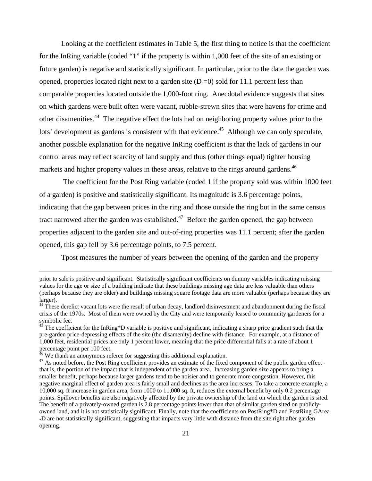Looking at the coefficient estimates in Table 5, the first thing to notice is that the coefficient for the InRing variable (coded "1" if the property is within 1,000 feet of the site of an existing or future garden) is negative and statistically significant. In particular, prior to the date the garden was opened, properties located right next to a garden site  $(D=0)$  sold for 11.1 percent less than comparable properties located outside the 1,000-foot ring. Anecdotal evidence suggests that sites on which gardens were built often were vacant, rubble-strewn sites that were havens for crime and other disamenities.44 The negative effect the lots had on neighboring property values prior to the lots' development as gardens is consistent with that evidence.<sup>45</sup> Although we can only speculate, another possible explanation for the negative InRing coefficient is that the lack of gardens in our control areas may reflect scarcity of land supply and thus (other things equal) tighter housing markets and higher property values in these areas, relative to the rings around gardens.<sup>46</sup>

 The coefficient for the Post Ring variable (coded 1 if the property sold was within 1000 feet of a garden) is positive and statistically significant. Its magnitude is 3.6 percentage points, indicating that the gap between prices in the ring and those outside the ring but in the same census tract narrowed after the garden was established.<sup>47</sup> Before the garden opened, the gap between properties adjacent to the garden site and out-of-ring properties was 11.1 percent; after the garden opened, this gap fell by 3.6 percentage points, to 7.5 percent.

Tpost measures the number of years between the opening of the garden and the property

prior to sale is positive and significant. Statistically significant coefficients on dummy variables indicating missing values for the age or size of a building indicate that these buildings missing age data are less valuable than others (perhaps because they are older) and buildings missing square footage data are more valuable (perhaps because they are larger).

<sup>&</sup>lt;sup>44</sup> These derelict vacant lots were the result of urban decay, landlord disinvestment and abandonment during the fiscal crisis of the 1970s. Most of them were owned by the City and were temporarily leased to community gardeners for a symbolic fee.

The coefficient for the InRing\*D variable is positive and significant, indicating a sharp price gradient such that the pre-garden price-depressing effects of the site (the disamenity) decline with distance. For example, at a distance of 1,000 feet, residential prices are only 1 percent lower, meaning that the price differential falls at a rate of about 1 percentage point per 100 feet.

 $46$  We thank an anonymous referee for suggesting this additional explanation.

<sup>&</sup>lt;sup>47</sup> As noted before, the Post Ring coefficient provides an estimate of the fixed component of the public garden effect that is, the portion of the impact that is independent of the garden area. Increasing garden size appears to bring a smaller benefit, perhaps because larger gardens tend to be noisier and to generate more congestion. However, this negative marginal effect of garden area is fairly small and declines as the area increases. To take a concrete example, a 10,000 sq. ft increase in garden area, from 1000 to 11,000 sq. ft, reduces the external benefit by only 0.2 percentage points. Spillover benefits are also negatively affected by the private ownership of the land on which the garden is sited. The benefit of a privately-owned garden is 2.8 percentage points lower than that of similar garden sited on publiclyowned land, and it is not statistically significant. Finally, note that the coefficients on PostRing\*D and PostRing\_GArea \*D are not statistically significant, suggesting that impacts vary little with distance from the site right after garden opening.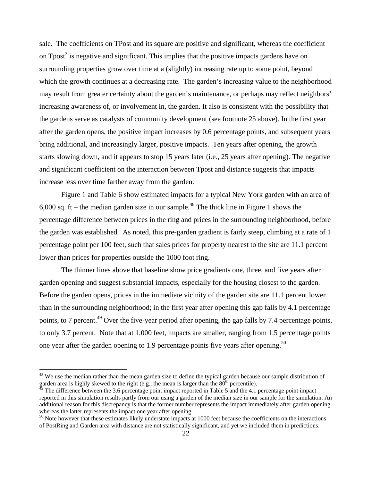sale. The coefficients on TPost and its square are positive and significant, whereas the coefficient on Tpost<sup>3</sup> is negative and significant. This implies that the positive impacts gardens have on surrounding properties grow over time at a (slightly) increasing rate up to some point, beyond which the growth continues at a decreasing rate. The garden's increasing value to the neighborhood may result from greater certainty about the garden's maintenance, or perhaps may reflect neighbors' increasing awareness of, or involvement in, the garden. It also is consistent with the possibility that the gardens serve as catalysts of community development (see footnote 25 above). In the first year after the garden opens, the positive impact increases by 0.6 percentage points, and subsequent years bring additional, and increasingly larger, positive impacts. Ten years after opening, the growth starts slowing down, and it appears to stop 15 years later (i.e., 25 years after opening). The negative and significant coefficient on the interaction between Tpost and distance suggests that impacts increase less over time farther away from the garden.

Figure 1 and Table 6 show estimated impacts for a typical New York garden with an area of 6,000 sq. ft – the median garden size in our sample.<sup>48</sup> The thick line in Figure 1 shows the percentage difference between prices in the ring and prices in the surrounding neighborhood, before the garden was established. As noted, this pre-garden gradient is fairly steep, climbing at a rate of 1 percentage point per 100 feet, such that sales prices for property nearest to the site are 11.1 percent lower than prices for properties outside the 1000 foot ring.

The thinner lines above that baseline show price gradients one, three, and five years after garden opening and suggest substantial impacts, especially for the housing closest to the garden. Before the garden opens, prices in the immediate vicinity of the garden site are 11.1 percent lower than in the surrounding neighborhood; in the first year after opening this gap falls by 4.1 percentage points, to 7 percent.<sup>49</sup> Over the five-year period after opening, the gap falls by 7.4 percentage points, to only 3.7 percent. Note that at 1,000 feet, impacts are smaller, ranging from 1.5 percentage points one year after the garden opening to 1.9 percentage points five years after opening.<sup>50</sup>

<sup>&</sup>lt;sup>48</sup> We use the median rather than the mean garden size to define the typical garden because our sample distribution of garden area is highly skewed to the right (e.g., the mean is larger than the  $80<sup>th</sup>$  percentile).

 $^{49}$  The difference between the 3.6 percentage point impact reported in Table 5 and the 4.1 percentage point impact reported in this simulation results partly from our using a garden of the median size in our sample for the simulation. An additional reason for this discrepancy is that the former number represents the impact immediately after garden opening whereas the latter represents the impact one year after opening.

 $50$  Note however that these estimates likely understate impacts at 1000 feet because the coefficients on the interactions of PostRing and Garden area with distance are not statistically significant, and yet we included them in predictions.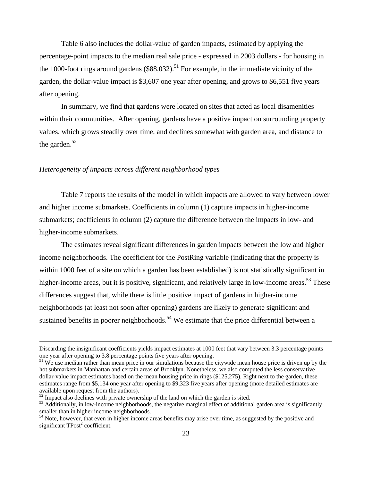Table 6 also includes the dollar-value of garden impacts, estimated by applying the percentage-point impacts to the median real sale price - expressed in 2003 dollars - for housing in the 1000-foot rings around gardens  $(\$88,032)$ .<sup>51</sup> For example, in the immediate vicinity of the garden, the dollar-value impact is \$3,607 one year after opening, and grows to \$6,551 five years after opening.

In summary, we find that gardens were located on sites that acted as local disamenities within their communities. After opening, gardens have a positive impact on surrounding property values, which grows steadily over time, and declines somewhat with garden area, and distance to the garden. $52$ 

#### *Heterogeneity of impacts across different neighborhood types*

Table 7 reports the results of the model in which impacts are allowed to vary between lower and higher income submarkets. Coefficients in column (1) capture impacts in higher-income submarkets; coefficients in column (2) capture the difference between the impacts in low- and higher-income submarkets.

The estimates reveal significant differences in garden impacts between the low and higher income neighborhoods. The coefficient for the PostRing variable (indicating that the property is within 1000 feet of a site on which a garden has been established) is not statistically significant in higher-income areas, but it is positive, significant, and relatively large in low-income areas.<sup>53</sup> These differences suggest that, while there is little positive impact of gardens in higher-income neighborhoods (at least not soon after opening) gardens are likely to generate significant and sustained benefits in poorer neighborhoods.<sup>54</sup> We estimate that the price differential between a

Discarding the insignificant coefficients yields impact estimates at 1000 feet that vary between 3.3 percentage points one year after opening to 3.8 percentage points five years after opening.

 $<sup>51</sup>$  We use median rather than mean price in our simulations because the citywide mean house price is driven up by the</sup> hot submarkets in Manhattan and certain areas of Brooklyn. Nonetheless, we also computed the less conservative dollar-value impact estimates based on the mean housing price in rings (\$125,275). Right next to the garden, these estimates range from \$5,134 one year after opening to \$9,323 five years after opening (more detailed estimates are

 $52$  Impact also declines with private ownership of the land on which the garden is sited.<br> $53$  Additionally, in low-income neighborhoods, the negative marginal effect of additional garden area is significantly smaller than in higher income neighborhoods.

<sup>&</sup>lt;sup>54</sup> Note, however, that even in higher income areas benefits may arise over time, as suggested by the positive and significant TPost<sup>2</sup> coefficient.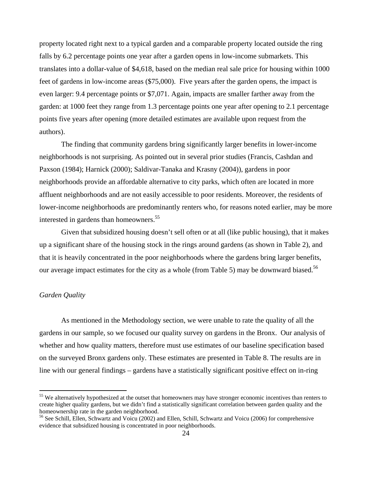property located right next to a typical garden and a comparable property located outside the ring falls by 6.2 percentage points one year after a garden opens in low-income submarkets. This translates into a dollar-value of \$4,618, based on the median real sale price for housing within 1000 feet of gardens in low-income areas (\$75,000). Five years after the garden opens, the impact is even larger: 9.4 percentage points or \$7,071. Again, impacts are smaller farther away from the garden: at 1000 feet they range from 1.3 percentage points one year after opening to 2.1 percentage points five years after opening (more detailed estimates are available upon request from the authors).

The finding that community gardens bring significantly larger benefits in lower-income neighborhoods is not surprising. As pointed out in several prior studies (Francis, Cashdan and Paxson (1984); Harnick (2000); Saldivar-Tanaka and Krasny (2004)), gardens in poor neighborhoods provide an affordable alternative to city parks, which often are located in more affluent neighborhoods and are not easily accessible to poor residents. Moreover, the residents of lower-income neighborhoods are predominantly renters who, for reasons noted earlier, may be more interested in gardens than homeowners.<sup>55</sup>

Given that subsidized housing doesn't sell often or at all (like public housing), that it makes up a significant share of the housing stock in the rings around gardens (as shown in Table 2), and that it is heavily concentrated in the poor neighborhoods where the gardens bring larger benefits, our average impact estimates for the city as a whole (from Table 5) may be downward biased.<sup>56</sup>

#### *Garden Quality*

 $\overline{a}$ 

As mentioned in the Methodology section, we were unable to rate the quality of all the gardens in our sample, so we focused our quality survey on gardens in the Bronx. Our analysis of whether and how quality matters, therefore must use estimates of our baseline specification based on the surveyed Bronx gardens only. These estimates are presented in Table 8. The results are in line with our general findings – gardens have a statistically significant positive effect on in-ring

<sup>&</sup>lt;sup>55</sup> We alternatively hypothesized at the outset that homeowners may have stronger economic incentives than renters to create higher quality gardens, but we didn't find a statistically significant correlation between garden quality and the homeownership rate in the garden neighborhood.

<sup>56</sup> See Schill, Ellen, Schwartz and Voicu (2002) and Ellen, Schill, Schwartz and Voicu (2006) for comprehensive evidence that subsidized housing is concentrated in poor neighborhoods.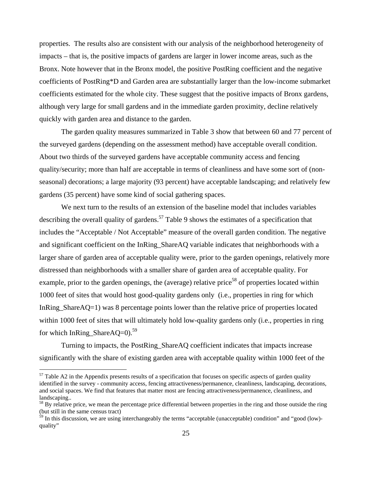properties. The results also are consistent with our analysis of the neighborhood heterogeneity of impacts – that is, the positive impacts of gardens are larger in lower income areas, such as the Bronx. Note however that in the Bronx model, the positive PostRing coefficient and the negative coefficients of PostRing\*D and Garden area are substantially larger than the low-income submarket coefficients estimated for the whole city. These suggest that the positive impacts of Bronx gardens, although very large for small gardens and in the immediate garden proximity, decline relatively quickly with garden area and distance to the garden.

The garden quality measures summarized in Table 3 show that between 60 and 77 percent of the surveyed gardens (depending on the assessment method) have acceptable overall condition. About two thirds of the surveyed gardens have acceptable community access and fencing quality/security; more than half are acceptable in terms of cleanliness and have some sort of (nonseasonal) decorations; a large majority (93 percent) have acceptable landscaping; and relatively few gardens (35 percent) have some kind of social gathering spaces.

We next turn to the results of an extension of the baseline model that includes variables describing the overall quality of gardens.<sup>57</sup> Table 9 shows the estimates of a specification that includes the "Acceptable / Not Acceptable" measure of the overall garden condition. The negative and significant coefficient on the InRing\_ShareAQ variable indicates that neighborhoods with a larger share of garden area of acceptable quality were, prior to the garden openings, relatively more distressed than neighborhoods with a smaller share of garden area of acceptable quality. For example, prior to the garden openings, the (average) relative price<sup>58</sup> of properties located within 1000 feet of sites that would host good-quality gardens only (i.e., properties in ring for which InRing\_ShareAQ=1) was 8 percentage points lower than the relative price of properties located within 1000 feet of sites that will ultimately hold low-quality gardens only (i.e., properties in ring for which InRing\_ShareAQ= $0$ ).<sup>59</sup>

Turning to impacts, the PostRing\_ShareAQ coefficient indicates that impacts increase significantly with the share of existing garden area with acceptable quality within 1000 feet of the

 $57$  Table A2 in the Appendix presents results of a specification that focuses on specific aspects of garden quality identified in the survey - community access, fencing attractiveness/permanence, cleanliness, landscaping, decorations, and social spaces. We find that features that matter most are fencing attractiveness/permanence, cleanliness, and landscaping..

<sup>&</sup>lt;sup>58</sup> By relative price, we mean the percentage price differential between properties in the ring and those outside the ring (but still in the same census tract)

<sup>&</sup>lt;sup>59</sup> In this discussion, we are using interchangeably the terms "acceptable (unacceptable) condition" and "good (low)quality"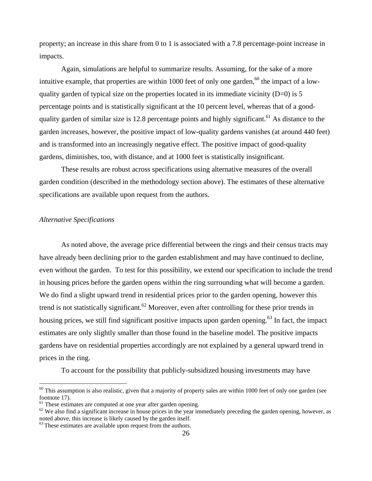property; an increase in this share from 0 to 1 is associated with a 7.8 percentage-point increase in impacts.

Again, simulations are helpful to summarize results. Assuming, for the sake of a more intuitive example, that properties are within 1000 feet of only one garden,<sup>60</sup> the impact of a lowquality garden of typical size on the properties located in its immediate vicinity ( $D=0$ ) is 5 percentage points and is statistically significant at the 10 percent level, whereas that of a goodquality garden of similar size is 12.8 percentage points and highly significant.<sup>61</sup> As distance to the garden increases, however, the positive impact of low-quality gardens vanishes (at around 440 feet) and is transformed into an increasingly negative effect. The positive impact of good-quality gardens, diminishes, too, with distance, and at 1000 feet is statistically insignificant.

These results are robust across specifications using alternative measures of the overall garden condition (described in the methodology section above). The estimates of these alternative specifications are available upon request from the authors.

#### *Alternative Specifications*

 $\overline{a}$ 

As noted above, the average price differential between the rings and their census tracts may have already been declining prior to the garden establishment and may have continued to decline, even without the garden. To test for this possibility, we extend our specification to include the trend in housing prices before the garden opens within the ring surrounding what will become a garden. We do find a slight upward trend in residential prices prior to the garden opening, however this trend is not statistically significant.<sup>62</sup> Moreover, even after controlling for these prior trends in housing prices, we still find significant positive impacts upon garden opening.<sup>63</sup> In fact, the impact estimates are only slightly smaller than those found in the baseline model. The positive impacts gardens have on residential properties accordingly are not explained by a general upward trend in prices in the ring.

To account for the possibility that publicly-subsidized housing investments may have

 $60$  This assumption is also realistic, given that a majority of property sales are within 1000 feet of only one garden (see footnote 17).

 $<sup>61</sup>$  These estimates are computed at one year after garden opening.</sup>

 $62$  We also find a significant increase in house prices in the year immediately preceding the garden opening, however, as noted above, this increase is likely caused by the garden itself.

 $63$  These estimates are available upon request from the authors.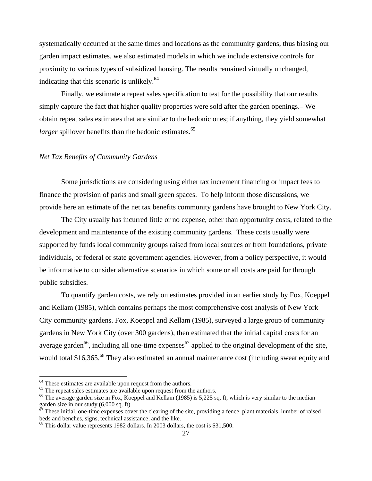systematically occurred at the same times and locations as the community gardens, thus biasing our garden impact estimates, we also estimated models in which we include extensive controls for proximity to various types of subsidized housing. The results remained virtually unchanged, indicating that this scenario is unlikely. $64$ 

Finally, we estimate a repeat sales specification to test for the possibility that our results simply capture the fact that higher quality properties were sold after the garden openings.– We obtain repeat sales estimates that are similar to the hedonic ones; if anything, they yield somewhat *larger* spillover benefits than the hedonic estimates.<sup>65</sup>

#### *Net Tax Benefits of Community Gardens*

 Some jurisdictions are considering using either tax increment financing or impact fees to finance the provision of parks and small green spaces. To help inform those discussions, we provide here an estimate of the net tax benefits community gardens have brought to New York City.

 The City usually has incurred little or no expense, other than opportunity costs, related to the development and maintenance of the existing community gardens. These costs usually were supported by funds local community groups raised from local sources or from foundations, private individuals, or federal or state government agencies. However, from a policy perspective, it would be informative to consider alternative scenarios in which some or all costs are paid for through public subsidies.

 To quantify garden costs, we rely on estimates provided in an earlier study by Fox, Koeppel and Kellam (1985), which contains perhaps the most comprehensive cost analysis of New York City community gardens. Fox, Koeppel and Kellam (1985), surveyed a large group of community gardens in New York City (over 300 gardens), then estimated that the initial capital costs for an average garden<sup>66</sup>, including all one-time expenses<sup>67</sup> applied to the original development of the site, would total \$16,365.<sup>68</sup> They also estimated an annual maintenance cost (including sweat equity and

 $64$  These estimates are available upon request from the authors.

 $^{65}$  The repeat sales estimates are available upon request from the authors.<br><sup>66</sup> The average garden size in Fox, Koeppel and Kellam (1985) is 5,225 sq. ft, which is very similar to the median garden size in our study (6,000 sq. ft)

 $\frac{67}{67}$  These initial, one-time expenses cover the clearing of the site, providing a fence, plant materials, lumber of raised beds and benches, signs, technical assistance, and the like.

 $68$  This dollar value represents 1982 dollars. In 2003 dollars, the cost is \$31,500.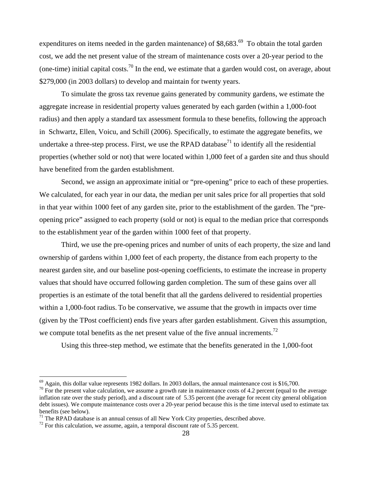expenditures on items needed in the garden maintenance) of  $$8,683<sup>69</sup>$  To obtain the total garden cost, we add the net present value of the stream of maintenance costs over a 20-year period to the (one-time) initial capital costs.<sup>70</sup> In the end, we estimate that a garden would cost, on average, about \$279,000 (in 2003 dollars) to develop and maintain for twenty years.

 To simulate the gross tax revenue gains generated by community gardens, we estimate the aggregate increase in residential property values generated by each garden (within a 1,000-foot radius) and then apply a standard tax assessment formula to these benefits, following the approach in Schwartz, Ellen, Voicu, and Schill (2006). Specifically, to estimate the aggregate benefits, we undertake a three-step process. First, we use the RPAD database<sup>71</sup> to identify all the residential properties (whether sold or not) that were located within 1,000 feet of a garden site and thus should have benefited from the garden establishment.

 Second, we assign an approximate initial or "pre-opening" price to each of these properties. We calculated, for each year in our data, the median per unit sales price for all properties that sold in that year within 1000 feet of any garden site, prior to the establishment of the garden. The "preopening price" assigned to each property (sold or not) is equal to the median price that corresponds to the establishment year of the garden within 1000 feet of that property.

 Third, we use the pre-opening prices and number of units of each property, the size and land ownership of gardens within 1,000 feet of each property, the distance from each property to the nearest garden site, and our baseline post-opening coefficients, to estimate the increase in property values that should have occurred following garden completion. The sum of these gains over all properties is an estimate of the total benefit that all the gardens delivered to residential properties within a 1,000-foot radius. To be conservative, we assume that the growth in impacts over time (given by the TPost coefficient) ends five years after garden establishment. Given this assumption, we compute total benefits as the net present value of the five annual increments.<sup>72</sup>

Using this three-step method, we estimate that the benefits generated in the 1,000-foot

 $^{69}$  Again, this dollar value represents 1982 dollars. In 2003 dollars, the annual maintenance cost is \$16,700.

 $70$  For the present value calculation, we assume a growth rate in maintenance costs of 4.2 percent (equal to the average inflation rate over the study period), and a discount rate of 5.35 percent (the average for recent city general obligation debt issues). We compute maintenance costs over a 20-year period because this is the time interval used to estimate tax benefits (see below).

 $71$  The RPAD database is an annual census of all New York City properties, described above.

 $72$  For this calculation, we assume, again, a temporal discount rate of 5.35 percent.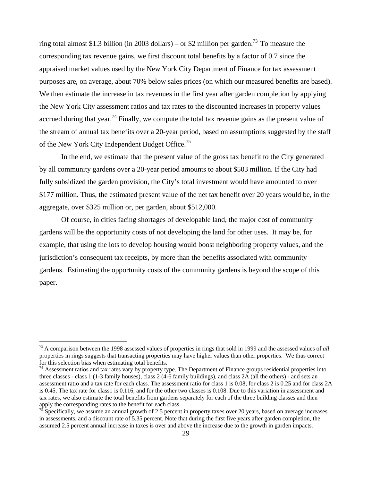ring total almost \$1.3 billion (in 2003 dollars) – or \$2 million per garden.<sup>73</sup> To measure the corresponding tax revenue gains, we first discount total benefits by a factor of 0.7 since the appraised market values used by the New York City Department of Finance for tax assessment purposes are, on average, about 70% below sales prices (on which our measured benefits are based). We then estimate the increase in tax revenues in the first year after garden completion by applying the New York City assessment ratios and tax rates to the discounted increases in property values accrued during that year.<sup>74</sup> Finally, we compute the total tax revenue gains as the present value of the stream of annual tax benefits over a 20-year period, based on assumptions suggested by the staff of the New York City Independent Budget Office.<sup>75</sup>

In the end, we estimate that the present value of the gross tax benefit to the City generated by all community gardens over a 20-year period amounts to about \$503 million. If the City had fully subsidized the garden provision, the City's total investment would have amounted to over \$177 million. Thus, the estimated present value of the net tax benefit over 20 years would be, in the aggregate, over \$325 million or, per garden, about \$512,000.

Of course, in cities facing shortages of developable land, the major cost of community gardens will be the opportunity costs of not developing the land for other uses. It may be, for example, that using the lots to develop housing would boost neighboring property values, and the jurisdiction's consequent tax receipts, by more than the benefits associated with community gardens. Estimating the opportunity costs of the community gardens is beyond the scope of this paper.

<sup>73</sup> A comparison between the 1998 assessed values of properties in rings that sold in 1999 and the assessed values of *all* properties in rings suggests that transacting properties may have higher values than other properties. We thus correct for this selection bias when estimating total benefits.

 $74$  Assessment ratios and tax rates vary by property type. The Department of Finance groups residential properties into three classes - class 1 (1-3 family houses), class 2 (4-6 family buildings), and class 2A (all the others) - and sets an assessment ratio and a tax rate for each class. The assessment ratio for class 1 is 0.08, for class 2 is 0.25 and for class 2A is 0.45. The tax rate for class1 is 0.116, and for the other two classes is 0.108. Due to this variation in assessment and tax rates, we also estimate the total benefits from gardens separately for each of the three building classes and then apply the corresponding rates to the benefit for each class.<br><sup>75</sup> Specifically, we assume an annual growth of 2.5 percent in property taxes over 20 years, based on average increases

in assessments, and a discount rate of 5.35 percent. Note that during the first five years after garden completion, the assumed 2.5 percent annual increase in taxes is over and above the increase due to the growth in garden impacts.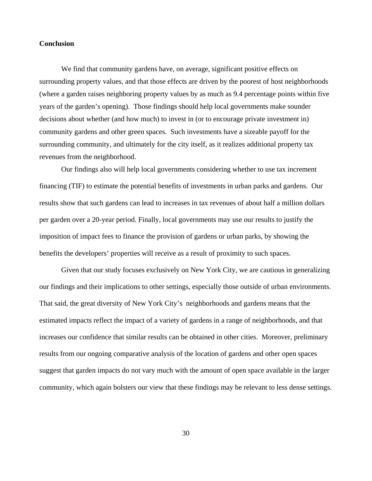#### **Conclusion**

We find that community gardens have, on average, significant positive effects on surrounding property values, and that those effects are driven by the poorest of host neighborhoods (where a garden raises neighboring property values by as much as 9.4 percentage points within five years of the garden's opening). Those findings should help local governments make sounder decisions about whether (and how much) to invest in (or to encourage private investment in) community gardens and other green spaces. Such investments have a sizeable payoff for the surrounding community, and ultimately for the city itself, as it realizes additional property tax revenues from the neighborhood.

Our findings also will help local governments considering whether to use tax increment financing (TIF) to estimate the potential benefits of investments in urban parks and gardens. Our results show that such gardens can lead to increases in tax revenues of about half a million dollars per garden over a 20-year period. Finally, local governments may use our results to justify the imposition of impact fees to finance the provision of gardens or urban parks, by showing the benefits the developers' properties will receive as a result of proximity to such spaces.

Given that our study focuses exclusively on New York City, we are cautious in generalizing our findings and their implications to other settings, especially those outside of urban environments. That said, the great diversity of New York City's neighborhoods and gardens means that the estimated impacts reflect the impact of a variety of gardens in a range of neighborhoods, and that increases our confidence that similar results can be obtained in other cities. Moreover, preliminary results from our ongoing comparative analysis of the location of gardens and other open spaces suggest that garden impacts do not vary much with the amount of open space available in the larger community, which again bolsters our view that these findings may be relevant to less dense settings.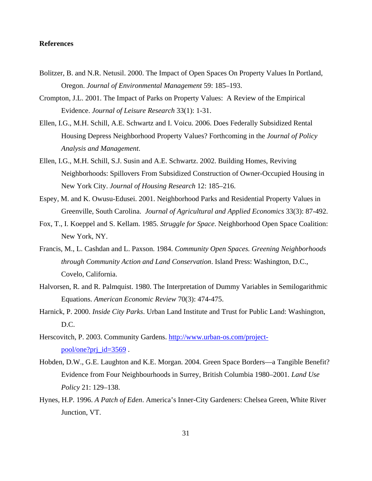#### **References**

- Bolitzer, B. and N.R. Netusil. 2000. The Impact of Open Spaces On Property Values In Portland, Oregon. *Journal of Environmental Management* 59: 185–193.
- Crompton, J.L. 2001. The Impact of Parks on Property Values: A Review of the Empirical Evidence. *Journal of Leisure Research* 33(1): 1-31.
- Ellen, I.G., M.H. Schill, A.E. Schwartz and I. Voicu. 2006. Does Federally Subsidized Rental Housing Depress Neighborhood Property Values? Forthcoming in the *Journal of Policy Analysis and Management*.
- Ellen, I.G., M.H. Schill, S.J. Susin and A.E. Schwartz. 2002. Building Homes, Reviving Neighborhoods: Spillovers From Subsidized Construction of Owner-Occupied Housing in New York City. *Journal of Housing Research* 12: 185–216.
- Espey, M. and K. Owusu-Edusei. 2001. Neighborhood Parks and Residential Property Values in Greenville, South Carolina. *Journal of Agricultural and Applied Economics* 33(3): 87-492.
- Fox, T., I. Koeppel and S. Kellam. 1985. *Struggle for Space*. Neighborhood Open Space Coalition: New York, NY.
- Francis, M., L. Cashdan and L. Paxson. 1984. *Community Open Spaces. Greening Neighborhoods through Community Action and Land Conservation*. Island Press: Washington, D.C., Covelo, California.
- Halvorsen, R. and R. Palmquist. 1980. The Interpretation of Dummy Variables in Semilogarithmic Equations. *American Economic Review* 70(3): 474-475.
- Harnick, P. 2000. *Inside City Parks*. Urban Land Institute and Trust for Public Land: Washington, D.C.
- Herscovitch, P. 2003. Community Gardens. http://www.urban-os.com/projectpool/one?prj\_id=3569 .
- Hobden, D.W., G.E. Laughton and K.E. Morgan. 2004. Green Space Borders—a Tangible Benefit? Evidence from Four Neighbourhoods in Surrey, British Columbia 1980–2001. *Land Use Policy* 21: 129–138.
- Hynes, H.P. 1996. *A Patch of Eden*. America's Inner-City Gardeners: Chelsea Green, White River Junction, VT.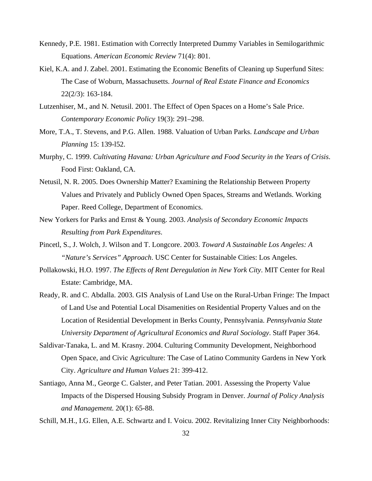- Kennedy, P.E. 1981. Estimation with Correctly Interpreted Dummy Variables in Semilogarithmic Equations. *American Economic Review* 71(4): 801.
- Kiel, K.A. and J. Zabel. 2001. Estimating the Economic Benefits of Cleaning up Superfund Sites: The Case of Woburn, Massachusetts. *Journal of Real Estate Finance and Economics* 22(2/3): 163-184.
- Lutzenhiser, M., and N. Netusil. 2001. The Effect of Open Spaces on a Home's Sale Price. *Contemporary Economic Policy* 19(3): 291–298.
- More, T.A., T. Stevens, and P.G. Allen. 1988. Valuation of Urban Parks. *Landscape and Urban Planning* 15: 139-l52.
- Murphy, C. 1999. *Cultivating Havana: Urban Agriculture and Food Security in the Years of Crisis*. Food First: Oakland, CA.
- Netusil, N. R. 2005. Does Ownership Matter? Examining the Relationship Between Property Values and Privately and Publicly Owned Open Spaces, Streams and Wetlands. Working Paper. Reed College, Department of Economics.
- New Yorkers for Parks and Ernst & Young. 2003. *Analysis of Secondary Economic Impacts Resulting from Park Expenditures*.
- Pincetl, S., J. Wolch, J. Wilson and T. Longcore. 2003. *Toward A Sustainable Los Angeles: A "Nature's Services" Approach*. USC Center for Sustainable Cities: Los Angeles.
- Pollakowski, H.O. 1997. *The Effects of Rent Deregulation in New York City*. MIT Center for Real Estate: Cambridge, MA.
- Ready, R. and C. Abdalla. 2003. GIS Analysis of Land Use on the Rural-Urban Fringe: The Impact of Land Use and Potential Local Disamenities on Residential Property Values and on the Location of Residential Development in Berks County, Pennsylvania. *Pennsylvania State University Department of Agricultural Economics and Rural Sociology*. Staff Paper 364.
- Saldivar-Tanaka, L. and M. Krasny. 2004. Culturing Community Development, Neighborhood Open Space, and Civic Agriculture: The Case of Latino Community Gardens in New York City. *Agriculture and Human Values* 21: 399-412.
- Santiago, Anna M., George C. Galster, and Peter Tatian. 2001. Assessing the Property Value Impacts of the Dispersed Housing Subsidy Program in Denver. *Journal of Policy Analysis and Management.* 20(1): 65-88.

Schill, M.H., I.G. Ellen, A.E. Schwartz and I. Voicu. 2002. Revitalizing Inner City Neighborhoods: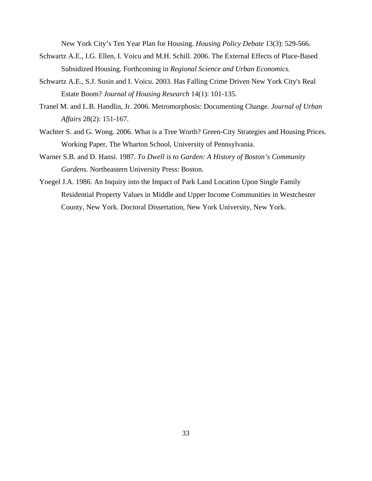New York City's Ten Year Plan for Housing. *Housing Policy Debate* 13(3): 529-566.

- Schwartz A.E., I.G. Ellen, I. Voicu and M.H. Schill. 2006. The External Effects of Place-Based Subsidized Housing. Forthcoming in *Regional Science and Urban Economics*.
- Schwartz A.E., S.J. Susin and I. Voicu. 2003. Has Falling Crime Driven New York City's Real Estate Boom? *Journal of Housing Research* 14(1): 101-135.
- Tranel M. and L.B. Handlin, Jr. 2006. Metromorphosis: Documenting Change. *Journal of Urban Affairs* 28(2): 151-167.
- Wachter S. and G. Wong. 2006. What is a Tree Worth? Green-City Strategies and Housing Prices. Working Paper, The Wharton School, University of Pennsylvania.
- Warner S.B. and D. Hansi. 1987. *To Dwell is to Garden: A History of Boston's Community Gardens*. Northeastern University Press: Boston.
- Yoegel J.A. 1986. An Inquiry into the Impact of Park Land Location Upon Single Family Residential Property Values in Middle and Upper Income Communities in Westchester County, New York. Doctoral Dissertation, New York University, New York.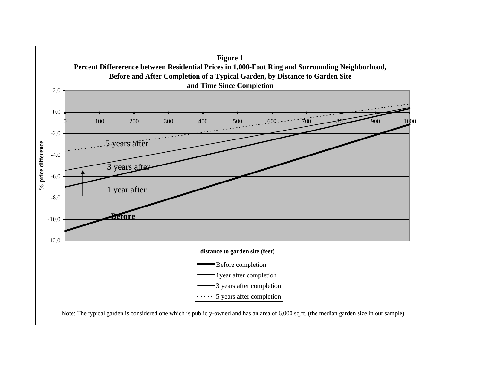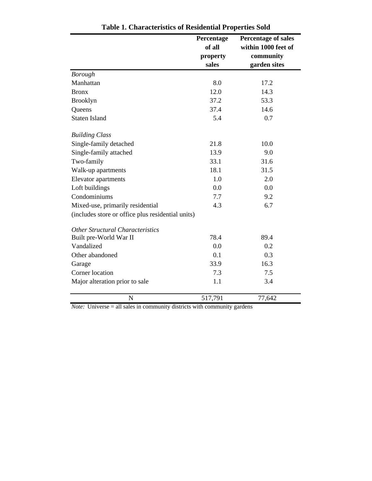|                                                   | Percentage<br>of all<br>property<br>sales | <b>Percentage of sales</b><br>within 1000 feet of<br>community<br>garden sites |
|---------------------------------------------------|-------------------------------------------|--------------------------------------------------------------------------------|
| <b>Borough</b>                                    |                                           |                                                                                |
| Manhattan                                         | 8.0                                       | 17.2                                                                           |
| <b>Bronx</b>                                      | 12.0                                      | 14.3                                                                           |
| Brooklyn                                          | 37.2                                      | 53.3                                                                           |
| Queens                                            | 37.4                                      | 14.6                                                                           |
| <b>Staten Island</b>                              | 5.4                                       | 0.7                                                                            |
| <b>Building Class</b>                             |                                           |                                                                                |
| Single-family detached                            | 21.8                                      | 10.0                                                                           |
| Single-family attached                            | 13.9                                      | 9.0                                                                            |
| Two-family                                        | 33.1                                      | 31.6                                                                           |
| Walk-up apartments                                | 18.1                                      | 31.5                                                                           |
| Elevator apartments                               | 1.0                                       | 2.0                                                                            |
| Loft buildings                                    | 0.0                                       | 0.0                                                                            |
| Condominiums                                      | 7.7                                       | 9.2                                                                            |
| Mixed-use, primarily residential                  | 4.3                                       | 6.7                                                                            |
| (includes store or office plus residential units) |                                           |                                                                                |
| <b>Other Structural Characteristics</b>           |                                           |                                                                                |
| Built pre-World War II                            | 78.4                                      | 89.4                                                                           |
| Vandalized                                        | 0.0                                       | 0.2                                                                            |
| Other abandoned                                   | 0.1                                       | 0.3                                                                            |
| Garage                                            | 33.9                                      | 16.3                                                                           |
| Corner location                                   | 7.3                                       | 7.5                                                                            |
| Major alteration prior to sale                    | 1.1                                       | 3.4                                                                            |
| N                                                 | 517,791                                   | 77,642                                                                         |

**Table 1. Characteristics of Residential Properties Sold**

*Note:* Universe = all sales in community districts with community gardens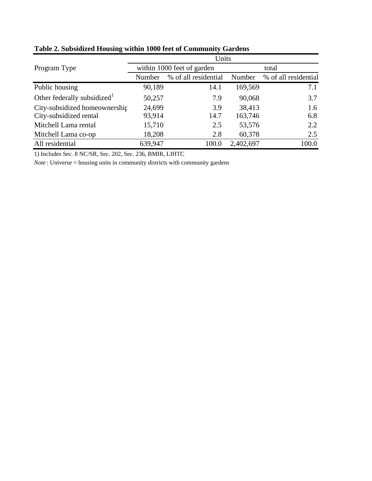|                                         | Units                      |                      |           |                      |
|-----------------------------------------|----------------------------|----------------------|-----------|----------------------|
| Program Type                            | within 1000 feet of garden |                      |           | total                |
|                                         | Number                     | % of all residential | Number    | % of all residential |
| Public housing                          | 90,189                     | 14.1                 | 169,569   | 7.1                  |
| Other federally subsidized <sup>1</sup> | 50,257                     | 7.9                  | 90,068    | 3.7                  |
| City-subsidized homeownership           | 24,699                     | 3.9                  | 38,413    | 1.6                  |
| City-subsidized rental                  | 93,914                     | 14.7                 | 163,746   | 6.8                  |
| Mitchell Lama rental                    | 15,710                     | 2.5                  | 53,576    | 2.2                  |
| Mitchell Lama co-op                     | 18,208                     | 2.8                  | 60,378    | 2.5                  |
| All residential                         | 639,947                    | 100.0                | 2,402,697 | 100.0                |

**Table 2. Subsidized Housing within 1000 feet of Community Gardens**

1) Includes Sec. 8 NC/SR, Sec. 202, Sec. 236, BMIR, LIHTC

*Note* : Universe = housing units in community districts with community gardens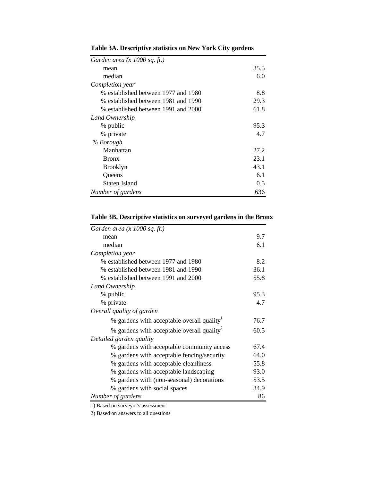| Garden area (x 1000 sq. ft.)        |      |
|-------------------------------------|------|
| mean                                | 35.5 |
| median                              | 6.0  |
| Completion year                     |      |
| % established between 1977 and 1980 | 8.8  |
| % established between 1981 and 1990 | 29.3 |
| % established between 1991 and 2000 | 61.8 |
| Land Ownership                      |      |
| % public                            | 95.3 |
| % private                           | 4.7  |
| % Borough                           |      |
| Manhattan                           | 27.2 |
| <b>Bronx</b>                        | 23.1 |
| Brooklyn                            | 43.1 |
| <b>Oueens</b>                       | 6.1  |
| Staten Island                       | 0.5  |
| Number of gardens                   | 636  |

**Table 3A. Descriptive statistics on New York City gardens**

|  | Table 3B. Descriptive statistics on surveyed gardens in the Bronx |  |
|--|-------------------------------------------------------------------|--|
|  |                                                                   |  |

| Garden area (x 1000 sq. ft.)                           |      |
|--------------------------------------------------------|------|
| mean                                                   | 9.7  |
| median                                                 | 6.1  |
| Completion year                                        |      |
| % established between 1977 and 1980                    | 8.2  |
| % established between 1981 and 1990                    | 36.1 |
| % established between 1991 and 2000                    | 55.8 |
| Land Ownership                                         |      |
| % public                                               | 95.3 |
| % private                                              | 4.7  |
| Overall quality of garden                              |      |
| % gardens with acceptable overall quality              | 76.7 |
| % gardens with acceptable overall quality <sup>2</sup> | 60.5 |
| Detailed garden quality                                |      |
| % gardens with acceptable community access             | 67.4 |
| % gardens with acceptable fencing/security             | 64.0 |
| % gardens with acceptable cleanliness                  | 55.8 |
| % gardens with acceptable landscaping                  | 93.0 |
| % gardens with (non-seasonal) decorations              | 53.5 |
| % gardens with social spaces                           | 34.9 |
| Number of gardens                                      | 86   |

1) Based on surveyor's assessment

2) Based on answers to all questions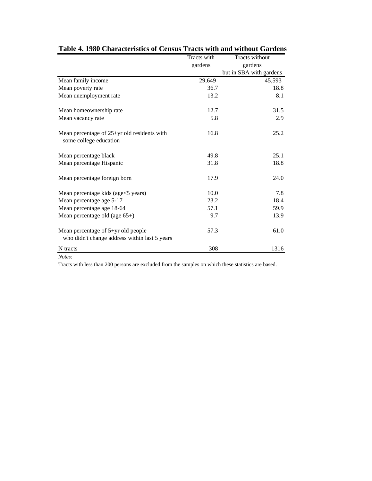|                                                                                       | Tracts with | <b>Tracts without</b>   |
|---------------------------------------------------------------------------------------|-------------|-------------------------|
|                                                                                       | gardens     | gardens                 |
|                                                                                       |             | but in SBA with gardens |
| Mean family income                                                                    | 29,649      | 45,593                  |
| Mean poverty rate                                                                     | 36.7        | 18.8                    |
| Mean unemployment rate                                                                | 13.2        | 8.1                     |
| Mean homeownership rate                                                               | 12.7        | 31.5                    |
| Mean vacancy rate                                                                     | 5.8         | 2.9                     |
| Mean percentage of 25+yr old residents with<br>some college education                 | 16.8        | 25.2                    |
| Mean percentage black                                                                 | 49.8        | 25.1                    |
| Mean percentage Hispanic                                                              | 31.8        | 18.8                    |
| Mean percentage foreign born                                                          | 17.9        | 24.0                    |
| Mean percentage kids (age<5 years)                                                    | 10.0        | 7.8                     |
| Mean percentage age 5-17                                                              | 23.2        | 18.4                    |
| Mean percentage age 18-64                                                             | 57.1        | 59.9                    |
| Mean percentage old (age $65+$ )                                                      | 9.7         | 13.9                    |
| Mean percentage of $5+yr$ old people<br>who didn't change address within last 5 years | 57.3        | 61.0                    |
| N tracts                                                                              | 308         | 1316                    |

### **Table 4. 1980 Characteristics of Census Tracts with and without Gardens**

*Notes:*

Tracts with less than 200 persons are excluded from the samples on which these statistics are based.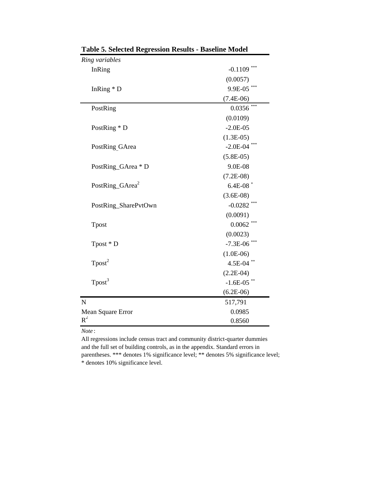| Ring variables              |                   |
|-----------------------------|-------------------|
| InRing                      | ***<br>$-0.1109$  |
|                             | (0.0057)          |
| In $Ring * D$               | 9.9E-05           |
|                             | $(7.4E-06)$       |
| PostRing                    | ***<br>0.0356     |
|                             | (0.0109)          |
| PostRing * D                | $-2.0E-05$        |
|                             | $(1.3E-05)$       |
| PostRing GArea              | $-2.0E-04$        |
|                             | $(5.8E-05)$       |
| PostRing_GArea * D          | 9.0E-08           |
|                             | $(7.2E-08)$       |
| PostRing_GArea <sup>2</sup> | 6.4E-08 $*$       |
|                             | $(3.6E-08)$       |
| PostRing_SharePvtOwn        | $-0.0282$         |
|                             | (0.0091)          |
| Tpost                       | ***<br>0.0062     |
|                             | (0.0023)          |
| Tpost $*$ D                 | ***<br>$-7.3E-06$ |
|                             | $(1.0E-06)$       |
| $T$ post <sup>2</sup>       | 4.5E-04           |
|                             | $(2.2E-04)$       |
| Tpost <sup>3</sup>          | $-1.6E-05$ **     |
|                             | $(6.2E-06)$       |
| $\mathbf N$                 | 517,791           |
| Mean Square Error           | 0.0985            |
| $R^2$                       | 0.8560            |

**Table 5. Selected Regression Results - Baseline Model**

*Note* :

All regressions include census tract and community district-quarter dummies and the full set of building controls, as in the appendix. Standard errors in parentheses. \*\*\* denotes 1% significance level; \*\* denotes 5% significance level; \* denotes 10% significance level.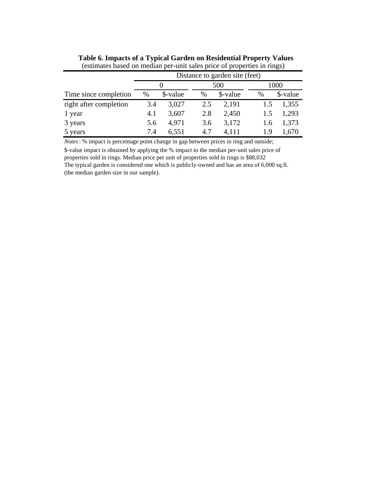|                        | Distance to garden site (feet) |          |     |          |     |          |
|------------------------|--------------------------------|----------|-----|----------|-----|----------|
|                        |                                |          |     | 500      |     | 1000     |
| Time since completion  | %                              | \$-value | %   | \$-value | %   | \$-value |
| right after completion | 3.4                            | 3,027    | 2.5 | 2,191    | 1.5 | 1,355    |
| 1 year                 | 4.1                            | 3,607    | 2.8 | 2,450    | 1.5 | 1,293    |
| 3 years                | 5.6                            | 4,971    | 3.6 | 3,172    | 1.6 | 1,373    |
| 5 years                | 7.4                            | 6,551    | 4.7 | 4,111    | 1.9 | 1,670    |

**Table 6. Impacts of a Typical Garden on Residential Property Values** (estimates based on median per-unit sales price of properties in rings)

*Notes*: % impact is percentage point change in gap between prices in ring and outside;

\$-value impact is obtained by applying the % impact to the median per-unit sales price of properties sold in rings. Median price per unit of properties sold in rings is \$88,032 The typical garden is considered one which is publicly-owned and has an area of 6,000 sq.ft.

(the median garden size in our sample).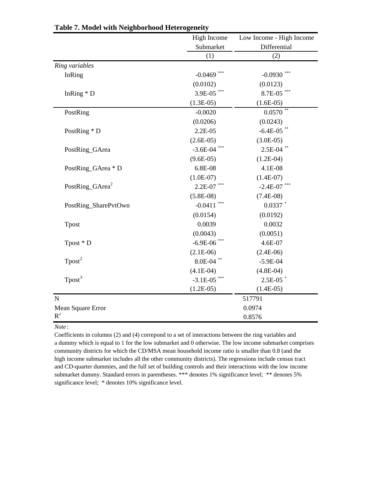|                             | <b>High Income</b> | Low Income - High Income |  |
|-----------------------------|--------------------|--------------------------|--|
|                             | Submarket          | Differential             |  |
|                             | (1)                | (2)                      |  |
| Ring variables              |                    |                          |  |
| InRing                      | $-0.0469$          | $-0.0930$                |  |
|                             | (0.0102)           | (0.0123)                 |  |
| In Ring $*$ D               | 3.9E-05            | 8.7E-05 ***              |  |
|                             | $(1.3E-05)$        | $(1.6E-05)$              |  |
| PostRing                    | $-0.0020$          | $0.0570$ <sup>**</sup>   |  |
|                             | (0.0206)           | (0.0243)                 |  |
| PostRing $*$ D              | 2.2E-05            | $-6.4E-05$ **            |  |
|                             | $(2.6E-05)$        | $(3.0E-05)$              |  |
| PostRing_GArea              | $-3.6E - 04$ ***   | $2.5E-04$ **             |  |
|                             | $(9.6E-05)$        | $(1.2E-04)$              |  |
| PostRing_GArea * D          | 6.8E-08            | 4.1E-08                  |  |
|                             | $(1.0E-07)$        | $(1.4E-07)$              |  |
| PostRing_GArea <sup>2</sup> | $2.2E-07$ ***      | $-2.4E-07$ ***           |  |
|                             | $(5.8E-08)$        | $(7.4E-08)$              |  |
| PostRing_SharePvtOwn        | $-0.0411$          | $0.0337$ *               |  |
|                             | (0.0154)           | (0.0192)                 |  |
| <b>Tpost</b>                | 0.0039             | 0.0032                   |  |
|                             | (0.0043)           | (0.0051)                 |  |
| $T$ post $*$ D              | $-6.9E - 06$ ***   | 4.6E-07                  |  |
|                             | $(2.1E-06)$        | $(2.4E-06)$              |  |
| $T$ post <sup>2</sup>       | $8.0E - 04$ **     | $-5.9E-04$               |  |
|                             | $(4.1E-04)$        | $(4.8E-04)$              |  |
| $T$ post <sup>3</sup>       | $-3.1E-05$ ***     | $2.5E-05$ <sup>*</sup>   |  |
|                             | $(1.2E-05)$        | $(1.4E-05)$              |  |
| $\mathbf N$                 |                    | 517791                   |  |
| Mean Square Error           |                    | 0.0974                   |  |
| $R^2$                       |                    | 0.8576                   |  |

*Note* :

Coefficients in columns (2) and (4) correpond to a set of interactions between the ring variables and a dummy which is equal to 1 for the low submarket and 0 otherwise. The low income submarket comprises community districts for which the CD/MSA mean household income ratio is smaller than 0.8 (and the high income submarket includes all the other community districts). The regressions include census tract and CD-quarter dummies, and the full set of building controls and their interactions with the low income submarket dummy. Standard errors in parentheses. \*\*\* denotes 1% significance level; \*\* denotes 5% significance level; \* denotes 10% significance level.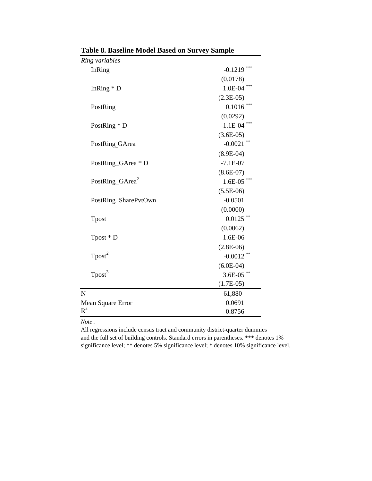| Ring variables              |                 |
|-----------------------------|-----------------|
| InRing                      | $-0.1219$       |
|                             | (0.0178)        |
| In Ring $*$ D               | ***<br>1.0E-04  |
|                             | $(2.3E-05)$     |
| PostRing                    | ***<br>0.1016   |
|                             | (0.0292)        |
| PostRing * D                | $-1.1E-04$      |
|                             | $(3.6E-05)$     |
| PostRing GArea              | **<br>$-0.0021$ |
|                             | $(8.9E-04)$     |
| PostRing_GArea * D          | $-7.1E-07$      |
|                             | $(8.6E-07)$     |
| PostRing_GArea <sup>2</sup> | 1.6E-05         |
|                             | $(5.5E-06)$     |
| PostRing_SharePvtOwn        | $-0.0501$       |
|                             | (0.0000)        |
| Tpost                       | $0.0125$ **     |
|                             | (0.0062)        |
| Tpost $*$ D                 | 1.6E-06         |
|                             | $(2.8E-06)$     |
| $T$ post <sup>2</sup>       | $-0.0012$ **    |
|                             | $(6.0E-04)$     |
| Tpost <sup>3</sup>          | $3.6E-05$ **    |
|                             | $(1.7E-0.5)$    |
| Ń                           | 61,880          |
| Mean Square Error           | 0.0691          |
| $\mathbf{R}^2$              | 0.8756          |

**Table 8. Baseline Model Based on Survey Sample**

*Note* :

All regressions include census tract and community district-quarter dummies and the full set of building controls. Standard errors in parentheses. \*\*\* denotes 1% significance level; \*\* denotes 5% significance level; \* denotes 10% significance level.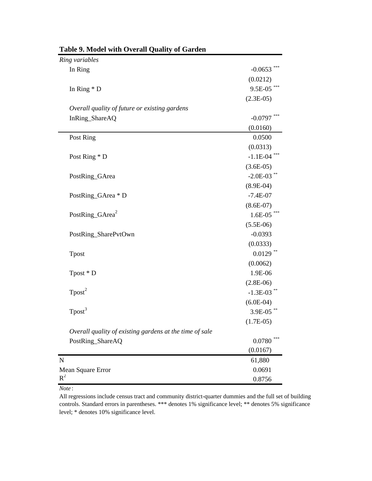| Ring variables                                          |                |
|---------------------------------------------------------|----------------|
| In Ring                                                 | $-0.0653$      |
|                                                         | (0.0212)       |
| In Ring $*$ D                                           | $9.5E-05$ ***  |
|                                                         | $(2.3E-05)$    |
| Overall quality of future or existing gardens           |                |
| InRing_ShareAQ                                          | $-0.0797$ ***  |
|                                                         | (0.0160)       |
| Post Ring                                               | 0.0500         |
|                                                         | (0.0313)       |
| Post Ring * D                                           | $-1.1E-04$ *** |
|                                                         | $(3.6E-05)$    |
| PostRing_GArea                                          | $-2.0E-03$ **  |
|                                                         | $(8.9E-04)$    |
| PostRing_GArea * D                                      | $-7.4E-07$     |
|                                                         | $(8.6E-07)$    |
| PostRing_GArea <sup>2</sup>                             | $1.6E-05$      |
|                                                         | $(5.5E-06)$    |
| PostRing_SharePvtOwn                                    | $-0.0393$      |
|                                                         | (0.0333)       |
| Tpost                                                   | $0.0129$ **    |
|                                                         | (0.0062)       |
| Tpost * D                                               | 1.9E-06        |
|                                                         | $(2.8E-06)$    |
| $T$ post <sup>2</sup>                                   | $-1.3E-03$ **  |
|                                                         | $(6.0E-04)$    |
| $T$ post <sup>3</sup>                                   | 3.9E-05 $*$    |
|                                                         | $(1.7E-0.5)$   |
| Overall quality of existing gardens at the time of sale |                |
| PostRing_ShareAQ                                        | 0.0780         |
|                                                         | (0.0167)       |
| $\mathbf N$                                             | 61,880         |
| Mean Square Error                                       | 0.0691         |
| $R^2$                                                   | 0.8756         |

#### **Table 9. Model with Overall Quality of Garden**

*Note* :

All regressions include census tract and community district-quarter dummies and the full set of building controls. Standard errors in parentheses. \*\*\* denotes 1% significance level; \*\* denotes 5% significance level; \* denotes 10% significance level.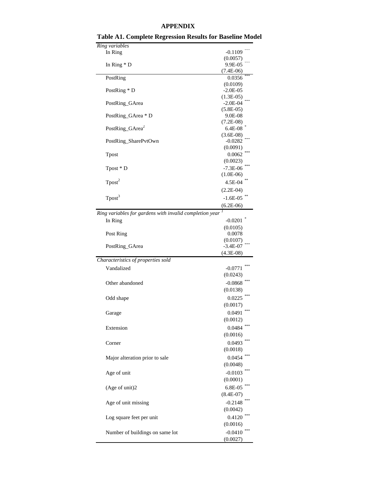#### **APPENDIX**

| <b>Ring</b> variables                                   |                          |
|---------------------------------------------------------|--------------------------|
| In Ring                                                 | ***<br>-0.1109           |
|                                                         | (0.0057)                 |
| In Ring $*$ D                                           | 9.9E-05<br>$(7.4E-06)$   |
| PostRing                                                | 0.0356                   |
|                                                         | (0.0109)                 |
| PostRing * D                                            | $-2.0E-05$               |
|                                                         | $(1.3E-05)$              |
| PostRing_GArea                                          | -2.0E-04<br>$(5.8E-05)$  |
| PostRing_GArea * D                                      | 9.0E-08                  |
|                                                         | $(7.2E-08)$              |
| PostRing_GArea <sup>2</sup>                             | 6.4E-08                  |
|                                                         | $(3.6E-08)$<br>$-0.0282$ |
| PostRing_SharePvtOwn                                    | (0.0091)                 |
| Tpost                                                   | 0.0062                   |
|                                                         | (0.0023)                 |
| $T$ post $*$ D                                          | $-7.3E-06$               |
|                                                         | $(1.0E-06)$              |
| $T$ post <sup>2</sup>                                   | 4.5E-04                  |
|                                                         | $(2.2E-04)$              |
| $T$ post <sup>3</sup>                                   | $-1.6E-05$               |
|                                                         | $(6.2E-06)$              |
| Ring variables for gardens with invalid completion year |                          |
| In Ring                                                 | $-0.0201$                |
|                                                         | (0.0105)                 |
| Post Ring                                               | 0.0078                   |
| PostRing_GArea                                          | (0.0107)<br>$-3.4E-07$   |
|                                                         | $(4.3E-08)$              |
| Characteristics of properties sold                      |                          |
| Vandalized                                              | ***<br>$-0.0771$         |
|                                                         | (0.0243)                 |
| Other abandoned                                         | $-0.0868$                |
|                                                         | (0.0138)                 |
| Odd shape                                               | ***<br>0.0225            |
|                                                         | (0.0017)                 |
| Garage                                                  | ***<br>0.0491            |
|                                                         | (0.0012)                 |
| Extension                                               | 0.0484                   |
|                                                         | (0.0016)                 |
| Corner                                                  | 0.0493                   |
|                                                         | (0.0018)                 |
| Major alteration prior to sale                          | 0.0454                   |
|                                                         | (0.0048)                 |
| Age of unit                                             |                          |
|                                                         | $-0.0103$                |
|                                                         | (0.0001)                 |
| (Age of unit)2                                          | 6.8E-05                  |
|                                                         | $(8.4E-07)$              |
| Age of unit missing                                     | $-0.2148$                |
|                                                         | (0.0042)                 |
| Log square feet per unit                                | 0.4120                   |
|                                                         | (0.0016)                 |
| Number of buildings on same lot                         | $-0.0410$<br>(0.0027)    |

#### **Table A1. Complete Regression Results for Baseline Model**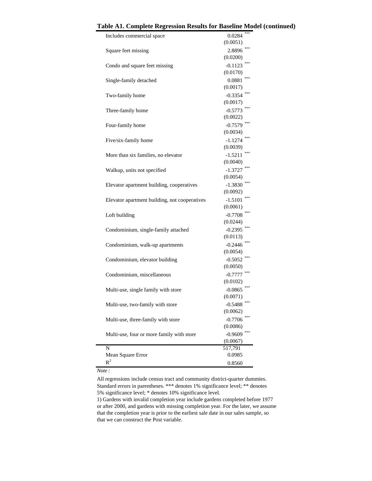| Includes commercial space                     | ***<br>0.0284             |
|-----------------------------------------------|---------------------------|
|                                               | (0.0051)                  |
| Square feet missing                           | 2.8896 ***                |
|                                               | (0.0200)                  |
| Condo and square feet missing                 | $-0.1123$ ***             |
|                                               | (0.0170)<br>***<br>0.0881 |
| Single-family detached                        | (0.0017)                  |
| Two-family home                               | $***$<br>$-0.3354$        |
|                                               | (0.0017)                  |
| Three-family home                             | $-0.5773$ ***             |
|                                               | (0.0022)                  |
| Four-family home                              | $-0.7579$ ***             |
|                                               | (0.0034)                  |
| Five/six-family home                          | ***<br>$-1.1274$          |
|                                               | (0.0039)                  |
| More than six families, no elevator           | $-1.5211$                 |
|                                               | (0.0040)                  |
| Walkup, units not specified                   | $-1.3727$                 |
|                                               | (0.0054)<br>$-1.3830$     |
| Elevator apartment building, cooperatives     | (0.0092)                  |
| Elevator apartment building, not cooperatives | ***<br>$-1.5101$          |
|                                               | (0.0061)                  |
| Loft building                                 | $-0.7708$                 |
|                                               | (0.0244)                  |
| Condominium, single-family attached           | $-0.2395$ ***             |
|                                               | (0.0113)                  |
| Condominium, walk-up apartments               | $-0.2446$ ***             |
|                                               | (0.0054)                  |
| Condominium, elevator building                | $-0.5052$ ***             |
|                                               | (0.0050)                  |
| Condominium, miscellaneous                    | $-0.7777$ ***             |
|                                               | (0.0102)<br>$-0.0865$ *** |
| Multi-use, single family with store           | (0.0071)                  |
| Multi-use, two-family with store              | $-0.5488$ ***             |
|                                               | (0.0062)                  |
| Multi-use, three-family with store            | $-0.7706$                 |
|                                               | (0.0086)                  |
| Multi-use, four or more family with store     | $-0.9609$                 |
|                                               | (0.0067)                  |
| $\overline{N}$                                | 517,791                   |
| Mean Square Error                             | 0.0985                    |
| $R^2$                                         | 0.8560                    |

**Table A1. Complete Regression Results for Baseline Model (continued)**

*Note* :

All regressions include census tract and community district-quarter dummies. Standard errors in parentheses. \*\*\* denotes 1% significance level; \*\* denotes 5% significance level; \* denotes 10% significance level.

1) Gardens with invalid completion year include gardens completed before 1977 or after 2000, and gardens with missing completion year. For the later, we assume that the completion year is prior to the earliest sale date in our sales sample, so that we can construct the Post variable.